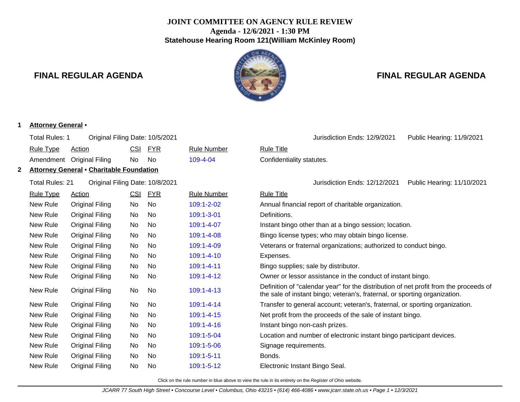# **JOINT COMMITTEE ON AGENCY RULE REVIEW Agenda - 12/6/2021 - 1:30 PM Statehouse Hearing Room 121(William McKinley Room)**

**1 Attorney General** •



# **FINAL REGULAR AGENDA FINAL REGULAR AGENDA**

|   | Total Rules: 1                                     | Original Filing Date: 10/5/2021 |            |                                                        |                    |                                                                   | Jurisdiction Ends: 12/9/2021                                                                                                                                        | Public Hearing: 11/9/2021  |  |
|---|----------------------------------------------------|---------------------------------|------------|--------------------------------------------------------|--------------------|-------------------------------------------------------------------|---------------------------------------------------------------------------------------------------------------------------------------------------------------------|----------------------------|--|
|   | <b>Rule Type</b>                                   | <b>Action</b>                   | CSI        | <b>FYR</b>                                             | <b>Rule Number</b> | <b>Rule Title</b>                                                 |                                                                                                                                                                     |                            |  |
|   | Amendment                                          | <b>Original Filing</b>          | No         | No                                                     | $109 - 4 - 04$     | Confidentiality statutes.                                         |                                                                                                                                                                     |                            |  |
| 2 | <b>Attorney General • Charitable Foundation</b>    |                                 |            |                                                        |                    |                                                                   |                                                                                                                                                                     |                            |  |
|   | Total Rules: 21<br>Original Filing Date: 10/8/2021 |                                 |            |                                                        |                    |                                                                   | Jurisdiction Ends: 12/12/2021                                                                                                                                       | Public Hearing: 11/10/2021 |  |
|   | <b>Rule Type</b>                                   | <b>Action</b>                   | CSI        | <u>FYR</u>                                             | <b>Rule Number</b> | <b>Rule Title</b>                                                 |                                                                                                                                                                     |                            |  |
|   | New Rule                                           | <b>Original Filing</b>          | No         | No                                                     | 109:1-2-02         |                                                                   | Annual financial report of charitable organization.                                                                                                                 |                            |  |
|   | New Rule                                           | <b>Original Filing</b>          | No         | No                                                     | 109:1-3-01         | Definitions.                                                      |                                                                                                                                                                     |                            |  |
|   | New Rule<br>Original Filing<br><b>No</b><br>No     |                                 | 109:1-4-07 | Instant bingo other than at a bingo session; location. |                    |                                                                   |                                                                                                                                                                     |                            |  |
|   | New Rule                                           | <b>Original Filing</b>          | No         | No                                                     | 109:1-4-08         |                                                                   | Bingo license types; who may obtain bingo license.                                                                                                                  |                            |  |
|   | New Rule                                           | <b>Original Filing</b>          | No         | No                                                     | 109:1-4-09         | Veterans or fraternal organizations; authorized to conduct bingo. |                                                                                                                                                                     |                            |  |
|   | New Rule                                           | Original Filing                 | No         | <b>No</b>                                              | 109:1-4-10         | Expenses.                                                         |                                                                                                                                                                     |                            |  |
|   | New Rule                                           | <b>Original Filing</b>          | No         | No                                                     | 109:1-4-11         | Bingo supplies; sale by distributor.                              |                                                                                                                                                                     |                            |  |
|   | New Rule                                           | Original Filing                 | No         | No.                                                    | 109:1-4-12         | Owner or lessor assistance in the conduct of instant bingo.       |                                                                                                                                                                     |                            |  |
|   | New Rule                                           | <b>Original Filing</b>          | No         | No                                                     | 109:1-4-13         |                                                                   | Definition of "calendar year" for the distribution of net profit from the proceeds of<br>the sale of instant bingo; veteran's, fraternal, or sporting organization. |                            |  |
|   | New Rule                                           | <b>Original Filing</b>          | No         | No                                                     | 109:1-4-14         |                                                                   | Transfer to general account; veteran's, fraternal, or sporting organization.                                                                                        |                            |  |
|   | New Rule                                           | <b>Original Filing</b>          | No         | No                                                     | 109:1-4-15         |                                                                   | Net profit from the proceeds of the sale of instant bingo.                                                                                                          |                            |  |
|   | New Rule                                           | <b>Original Filing</b>          | No         | No                                                     | 109:1-4-16         | Instant bingo non-cash prizes.                                    |                                                                                                                                                                     |                            |  |
|   | New Rule                                           | Original Filing                 | No         | <b>No</b>                                              | 109:1-5-04         |                                                                   | Location and number of electronic instant bingo participant devices.                                                                                                |                            |  |
|   | New Rule                                           | <b>Original Filing</b>          | No         | No                                                     | 109:1-5-06         | Signage requirements.                                             |                                                                                                                                                                     |                            |  |
|   | New Rule                                           | <b>Original Filing</b>          | No         | No                                                     | 109:1-5-11         | Bonds.                                                            |                                                                                                                                                                     |                            |  |
|   | New Rule                                           | <b>Original Filing</b>          | No         | No                                                     | 109:1-5-12         | Electronic Instant Bingo Seal.                                    |                                                                                                                                                                     |                            |  |
|   |                                                    |                                 |            |                                                        |                    |                                                                   |                                                                                                                                                                     |                            |  |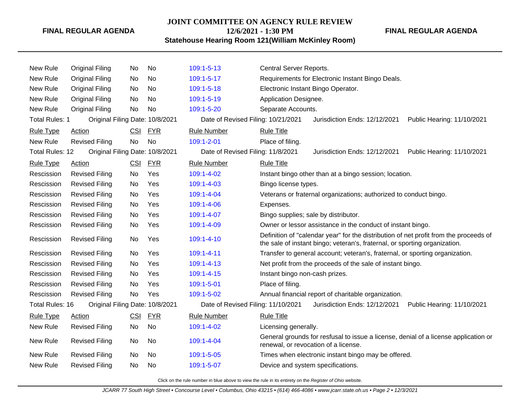#### **JOINT COMMITTEE ON AGENCY RULE REVIEW**

**12/6/2021 - 1:30 PM**

**FINAL REGULAR AGENDA**

**Statehouse Hearing Room 121(William McKinley Room)**

| New Rule              | Original Filing                 | No         | No         | $109:1 - 5 - 13$                   | Central Server Reports.                                                                                                                                             |  |  |  |  |
|-----------------------|---------------------------------|------------|------------|------------------------------------|---------------------------------------------------------------------------------------------------------------------------------------------------------------------|--|--|--|--|
| New Rule              | Original Filing                 | No         | No         | 109:1-5-17                         | Requirements for Electronic Instant Bingo Deals.                                                                                                                    |  |  |  |  |
| New Rule              | Original Filing                 | No.        | No         | $109:1 - 5 - 18$                   | Electronic Instant Bingo Operator.                                                                                                                                  |  |  |  |  |
| <b>New Rule</b>       | <b>Original Filing</b>          | No.        | <b>No</b>  | 109:1-5-19                         | Application Designee.                                                                                                                                               |  |  |  |  |
| New Rule              | <b>Original Filing</b>          | <b>No</b>  | <b>No</b>  | 109:1-5-20                         | Separate Accounts.                                                                                                                                                  |  |  |  |  |
| <b>Total Rules: 1</b> | Original Filing Date: 10/8/2021 |            |            | Date of Revised Filing: 10/21/2021 | Jurisdiction Ends: 12/12/2021<br>Public Hearing: 11/10/2021                                                                                                         |  |  |  |  |
| <b>Rule Type</b>      | Action                          | <b>CSI</b> | <b>FYR</b> | <b>Rule Number</b>                 | <b>Rule Title</b>                                                                                                                                                   |  |  |  |  |
| New Rule              | <b>Revised Filing</b>           | <b>No</b>  | <b>No</b>  | 109:1-2-01                         | Place of filing.                                                                                                                                                    |  |  |  |  |
| Total Rules: 12       | Original Filing Date: 10/8/2021 |            |            | Date of Revised Filing: 11/8/2021  | Jurisdiction Ends: 12/12/2021<br>Public Hearing: 11/10/2021                                                                                                         |  |  |  |  |
| <b>Rule Type</b>      | <b>Action</b>                   | <b>CSI</b> | <b>FYR</b> | <b>Rule Number</b>                 | <b>Rule Title</b>                                                                                                                                                   |  |  |  |  |
| Rescission            | <b>Revised Filing</b>           | No.        | Yes        | 109:1-4-02                         | Instant bingo other than at a bingo session; location.                                                                                                              |  |  |  |  |
| Rescission            | <b>Revised Filing</b>           | No         | Yes        | 109:1-4-03                         | Bingo license types.                                                                                                                                                |  |  |  |  |
| Rescission            | <b>Revised Filing</b>           | No.        | Yes        | $109:1 - 4 - 04$                   | Veterans or fraternal organizations; authorized to conduct bingo.                                                                                                   |  |  |  |  |
| Rescission            | <b>Revised Filing</b>           | No         | Yes        | 109:1-4-06                         | Expenses.                                                                                                                                                           |  |  |  |  |
| Rescission            | <b>Revised Filing</b>           | No.        | Yes        | 109:1-4-07                         | Bingo supplies; sale by distributor.                                                                                                                                |  |  |  |  |
| Rescission            | <b>Revised Filing</b>           | No         | Yes        | 109:1-4-09                         | Owner or lessor assistance in the conduct of instant bingo.                                                                                                         |  |  |  |  |
| Rescission            | <b>Revised Filing</b>           | No         | Yes        | 109:1-4-10                         | Definition of "calendar year" for the distribution of net profit from the proceeds of<br>the sale of instant bingo; veteran's, fraternal, or sporting organization. |  |  |  |  |
| Rescission            | <b>Revised Filing</b>           | No         | Yes        | 109:1-4-11                         | Transfer to general account; veteran's, fraternal, or sporting organization.                                                                                        |  |  |  |  |
| Rescission            | <b>Revised Filing</b>           | No.        | Yes        | $109:1 - 4 - 13$                   | Net profit from the proceeds of the sale of instant bingo.                                                                                                          |  |  |  |  |
| Rescission            | <b>Revised Filing</b>           | No.        | Yes        | $109:1 - 4 - 15$                   | Instant bingo non-cash prizes.                                                                                                                                      |  |  |  |  |
| Rescission            | <b>Revised Filing</b>           | No         | Yes        | 109:1-5-01                         | Place of filing.                                                                                                                                                    |  |  |  |  |
| Rescission            | <b>Revised Filing</b>           | <b>No</b>  | Yes        | 109:1-5-02                         | Annual financial report of charitable organization.                                                                                                                 |  |  |  |  |
| Total Rules: 16       | Original Filing Date: 10/8/2021 |            |            | Date of Revised Filing: 11/10/2021 | Jurisdiction Ends: 12/12/2021<br>Public Hearing: 11/10/2021                                                                                                         |  |  |  |  |
| <b>Rule Type</b>      | Action                          | <b>CSI</b> | <u>FYR</u> | <b>Rule Number</b>                 | <b>Rule Title</b>                                                                                                                                                   |  |  |  |  |
| New Rule              | <b>Revised Filing</b>           | No         | No         | 109:1-4-02                         | Licensing generally.                                                                                                                                                |  |  |  |  |
| New Rule              | <b>Revised Filing</b>           | No         | No         | 109:1-4-04                         | General grounds for resfusal to issue a license, denial of a license application or<br>renewal, or revocation of a license.                                         |  |  |  |  |
| New Rule              | <b>Revised Filing</b>           | No.        | No         | 109:1-5-05                         | Times when electronic instant bingo may be offered.                                                                                                                 |  |  |  |  |
| <b>New Rule</b>       | <b>Revised Filing</b>           | No         | No         | 109:1-5-07                         | Device and system specifications.                                                                                                                                   |  |  |  |  |
|                       |                                 |            |            |                                    |                                                                                                                                                                     |  |  |  |  |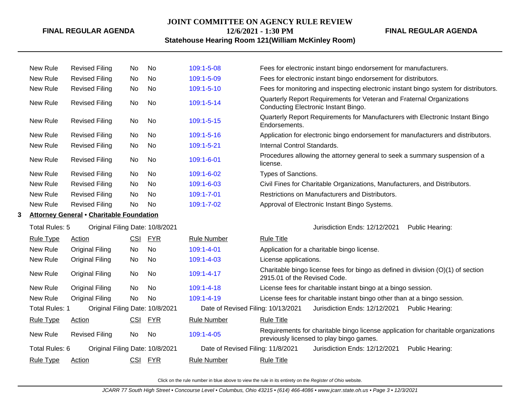#### **JOINT COMMITTEE ON AGENCY RULE REVIEW**

**12/6/2021 - 1:30 PM**

#### **Statehouse Hearing Room 121(William McKinley Room)**

New Rule Revised Filing No No [109:1-5-08](http://www.registerofohio.state.oh.us/jsps/publicdisplayrules/processPublicDisplayRules.jsp?entered_rule_no=109:1-5-08&doWhat=GETBYRULENUM&raID=0) Fees for electronic instant bingo endorsement for manufacturers. New Rule Revised Filing No No [109:1-5-09](http://www.registerofohio.state.oh.us/jsps/publicdisplayrules/processPublicDisplayRules.jsp?entered_rule_no=109:1-5-09&doWhat=GETBYRULENUM&raID=0) Fees for electronic instant bingo endorsement for distributors. New Rule Revised Filing No No [109:1-5-10](http://www.registerofohio.state.oh.us/jsps/publicdisplayrules/processPublicDisplayRules.jsp?entered_rule_no=109:1-5-10&doWhat=GETBYRULENUM&raID=0) Fees for monitoring and inspecting electronic instant bingo system for distributors. New Rule Revised Filing No No [109:1-5-14](http://www.registerofohio.state.oh.us/jsps/publicdisplayrules/processPublicDisplayRules.jsp?entered_rule_no=109:1-5-14&doWhat=GETBYRULENUM&raID=0) Quarterly Report Requirements for Veteran and Fraternal Organizations Conducting Electronic Instant Bingo. New Rule Revised Filing No No [109:1-5-15](http://www.registerofohio.state.oh.us/jsps/publicdisplayrules/processPublicDisplayRules.jsp?entered_rule_no=109:1-5-15&doWhat=GETBYRULENUM&raID=0) Quarterly Report Requirements for Manufacturers with Electronic Instant Bingo Endorsements. New Rule Revised Filing No No [109:1-5-16](http://www.registerofohio.state.oh.us/jsps/publicdisplayrules/processPublicDisplayRules.jsp?entered_rule_no=109:1-5-16&doWhat=GETBYRULENUM&raID=0) Application for electronic bingo endorsement for manufacturers and distributors. New Rule Revised Filing No No [109:1-5-21](http://www.registerofohio.state.oh.us/jsps/publicdisplayrules/processPublicDisplayRules.jsp?entered_rule_no=109:1-5-21&doWhat=GETBYRULENUM&raID=0) Internal Control Standards. New Rule Revised Filing No No [109:1-6-01](http://www.registerofohio.state.oh.us/jsps/publicdisplayrules/processPublicDisplayRules.jsp?entered_rule_no=109:1-6-01&doWhat=GETBYRULENUM&raID=0) Procedures allowing the attorney general to seek a summary suspension of a license. New Rule Revised Filing No No [109:1-6-02](http://www.registerofohio.state.oh.us/jsps/publicdisplayrules/processPublicDisplayRules.jsp?entered_rule_no=109:1-6-02&doWhat=GETBYRULENUM&raID=0) Types of Sanctions. New Rule Revised Filing No No [109:1-6-03](http://www.registerofohio.state.oh.us/jsps/publicdisplayrules/processPublicDisplayRules.jsp?entered_rule_no=109:1-6-03&doWhat=GETBYRULENUM&raID=0) Civil Fines for Charitable Organizations, Manufacturers, and Distributors. New Rule Revised Filing No No [109:1-7-01](http://www.registerofohio.state.oh.us/jsps/publicdisplayrules/processPublicDisplayRules.jsp?entered_rule_no=109:1-7-01&doWhat=GETBYRULENUM&raID=0) Restrictions on Manufacturers and Distributors. New Rule Revised Filing No No [109:1-7-02](http://www.registerofohio.state.oh.us/jsps/publicdisplayrules/processPublicDisplayRules.jsp?entered_rule_no=109:1-7-02&doWhat=GETBYRULENUM&raID=0) Approval of Electronic Instant Bingo Systems. **3 Attorney General** • **Charitable Foundation** Total Rules: 5 Original Filing Date: 10/8/2021 **Contained Accord Public Heart Contained Accord Public Hearing:** Total Accord Public Hearing: Rule Type Action CSI FYR Rule Number Rule Title New Rule Original Filing No No [109:1-4-01](http://www.registerofohio.state.oh.us/jsps/publicdisplayrules/processPublicDisplayRules.jsp?entered_rule_no=109:1-4-01&doWhat=GETBYRULENUM&raID=0) Application for a charitable bingo license. New Rule Original Filing No No [109:1-4-03](http://www.registerofohio.state.oh.us/jsps/publicdisplayrules/processPublicDisplayRules.jsp?entered_rule_no=109:1-4-03&doWhat=GETBYRULENUM&raID=0) License applications. New Rule Original Filing No No [109:1-4-17](http://www.registerofohio.state.oh.us/jsps/publicdisplayrules/processPublicDisplayRules.jsp?entered_rule_no=109:1-4-17&doWhat=GETBYRULENUM&raID=0) Charitable bingo license fees for bingo as defined in division (O)(1) of section 2915.01 of the Revised Code. New Rule Original Filing No No [109:1-4-18](http://www.registerofohio.state.oh.us/jsps/publicdisplayrules/processPublicDisplayRules.jsp?entered_rule_no=109:1-4-18&doWhat=GETBYRULENUM&raID=0) License fees for charitable instant bingo at a bingo session. New Rule Original Filing No No [109:1-4-19](http://www.registerofohio.state.oh.us/jsps/publicdisplayrules/processPublicDisplayRules.jsp?entered_rule_no=109:1-4-19&doWhat=GETBYRULENUM&raID=0) License fees for charitable instant bingo other than at a bingo session. Total Rules: 1 Original Filing Date: 10/8/2021 Date of Revised Filing: 10/13/2021 Jurisdiction Ends: 12/12/2021 Public Hearing: Rule Type Action **CSI FYR** Rule Number Rule Title New Rule Revised Filing No No [109:1-4-05](http://www.registerofohio.state.oh.us/jsps/publicdisplayrules/processPublicDisplayRules.jsp?entered_rule_no=109:1-4-05&doWhat=GETBYRULENUM&raID=0) Requirements for charitable bingo license application for charitable organizations previously licensed to play bingo games. Total Rules: 6 Original Filing Date: 10/8/2021 Date of Revised Filing: 11/8/2021 Jurisdiction Ends: 12/12/2021 Public Hearing: Rule Type Action **CSI FYR** Rule Number Rule Title

Click on the rule number in blue above to view the rule in its entirety on the Register of Ohio website.

**FINAL REGULAR AGENDA**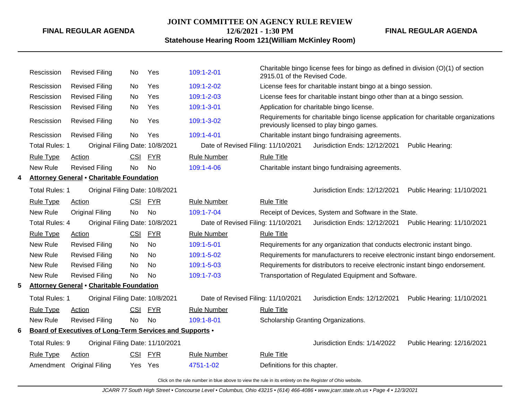### **JOINT COMMITTEE ON AGENCY RULE REVIEW 12/6/2021 - 1:30 PM**

**FINAL REGULAR AGENDA**

## **Statehouse Hearing Room 121(William McKinley Room)**

|   | Rescission            | <b>Revised Filing</b>                                    | No         | Yes        | 109:1-2-01                         | 2915.01 of the Revised Code.                                                                                                   | Charitable bingo license fees for bingo as defined in division $(O)(1)$ of section |                            |  |
|---|-----------------------|----------------------------------------------------------|------------|------------|------------------------------------|--------------------------------------------------------------------------------------------------------------------------------|------------------------------------------------------------------------------------|----------------------------|--|
|   | Rescission            | <b>Revised Filing</b>                                    | No         | Yes        | 109:1-2-02                         |                                                                                                                                | License fees for charitable instant bingo at a bingo session.                      |                            |  |
|   | Rescission            | <b>Revised Filing</b>                                    | No.        | Yes        | 109:1-2-03                         |                                                                                                                                | License fees for charitable instant bingo other than at a bingo session.           |                            |  |
|   | Rescission            | <b>Revised Filing</b>                                    | No         | Yes        | 109:1-3-01                         | Application for charitable bingo license.                                                                                      |                                                                                    |                            |  |
|   | Rescission            | <b>Revised Filing</b>                                    | No         | Yes        | 109:1-3-02                         | Requirements for charitable bingo license application for charitable organizations<br>previously licensed to play bingo games. |                                                                                    |                            |  |
|   | Rescission            | <b>Revised Filing</b>                                    | No         | Yes        | 109:1-4-01                         | Charitable instant bingo fundraising agreements.                                                                               |                                                                                    |                            |  |
|   | <b>Total Rules: 1</b> | Original Filing Date: 10/8/2021                          |            |            | Date of Revised Filing: 11/10/2021 |                                                                                                                                | Jurisdiction Ends: 12/12/2021                                                      | Public Hearing:            |  |
|   | <b>Rule Type</b>      | <b>Action</b>                                            | <b>CSI</b> | <b>FYR</b> | <b>Rule Number</b>                 | <b>Rule Title</b>                                                                                                              |                                                                                    |                            |  |
|   | New Rule              | <b>Revised Filing</b>                                    | <b>No</b>  | <b>No</b>  | 109:1-4-06                         |                                                                                                                                | Charitable instant bingo fundraising agreements.                                   |                            |  |
| 4 |                       | <b>Attorney General • Charitable Foundation</b>          |            |            |                                    |                                                                                                                                |                                                                                    |                            |  |
|   | <b>Total Rules: 1</b> | Original Filing Date: 10/8/2021                          |            |            |                                    |                                                                                                                                | Jurisdiction Ends: 12/12/2021                                                      | Public Hearing: 11/10/2021 |  |
|   | <b>Rule Type</b>      | <b>Action</b>                                            | CSI        | <u>FYR</u> | <b>Rule Number</b>                 | <b>Rule Title</b>                                                                                                              |                                                                                    |                            |  |
|   | New Rule              | <b>Original Filing</b>                                   | <b>No</b>  | <b>No</b>  | 109:1-7-04                         |                                                                                                                                | Receipt of Devices, System and Software in the State.                              |                            |  |
|   | <b>Total Rules: 4</b> | Original Filing Date: 10/8/2021                          |            |            | Date of Revised Filing: 11/10/2021 |                                                                                                                                | Jurisdiction Ends: 12/12/2021                                                      | Public Hearing: 11/10/2021 |  |
|   | <b>Rule Type</b>      | <b>Action</b>                                            | CSI        | <b>FYR</b> | <b>Rule Number</b>                 | <b>Rule Title</b>                                                                                                              |                                                                                    |                            |  |
|   | New Rule              | <b>Revised Filing</b>                                    | No         | No         | 109:1-5-01                         |                                                                                                                                | Requirements for any organization that conducts electronic instant bingo.          |                            |  |
|   | New Rule              | <b>Revised Filing</b>                                    | No         | <b>No</b>  | 109:1-5-02                         |                                                                                                                                | Requirements for manufacturers to receive electronic instant bingo endorsement.    |                            |  |
|   | New Rule              | <b>Revised Filing</b>                                    | No         | No.        | 109:1-5-03                         |                                                                                                                                | Requirements for distributors to receive electronic instant bingo endorsement.     |                            |  |
|   | New Rule              | <b>Revised Filing</b>                                    | No         | <b>No</b>  | 109:1-7-03                         |                                                                                                                                | Transportation of Regulated Equipment and Software.                                |                            |  |
| 5 |                       | <b>Attorney General • Charitable Foundation</b>          |            |            |                                    |                                                                                                                                |                                                                                    |                            |  |
|   | Total Rules: 1        | Original Filing Date: 10/8/2021                          |            |            | Date of Revised Filing: 11/10/2021 |                                                                                                                                | Jurisdiction Ends: 12/12/2021                                                      | Public Hearing: 11/10/2021 |  |
|   | <b>Rule Type</b>      | Action                                                   | CSI        | <b>FYR</b> | <b>Rule Number</b>                 | <b>Rule Title</b>                                                                                                              |                                                                                    |                            |  |
|   | New Rule              | <b>Revised Filing</b>                                    | No         | No         | 109:1-8-01                         |                                                                                                                                | Scholarship Granting Organizations.                                                |                            |  |
| 6 |                       | Board of Executives of Long-Term Services and Supports . |            |            |                                    |                                                                                                                                |                                                                                    |                            |  |
|   | Total Rules: 9        | Original Filing Date: 11/10/2021                         |            |            |                                    |                                                                                                                                | Jurisdiction Ends: 1/14/2022                                                       | Public Hearing: 12/16/2021 |  |
|   | Rule Type             | Action                                                   | <b>CSI</b> | <b>FYR</b> | <b>Rule Number</b>                 | <b>Rule Title</b>                                                                                                              |                                                                                    |                            |  |
|   |                       | Amendment Original Filing                                | Yes        | Yes        | 4751-1-02                          | Definitions for this chapter.                                                                                                  |                                                                                    |                            |  |
|   |                       |                                                          |            |            |                                    |                                                                                                                                |                                                                                    |                            |  |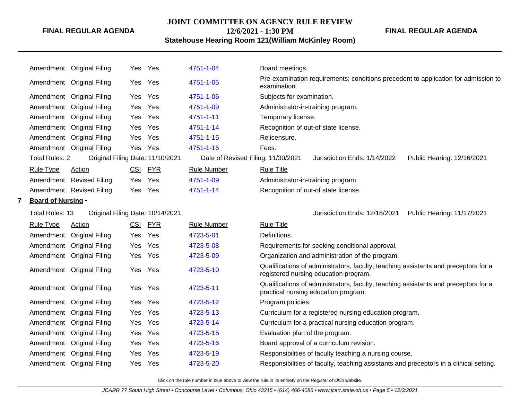#### **JOINT COMMITTEE ON AGENCY RULE REVIEW**

**FINAL REGULAR AGENDA**

## **12/6/2021 - 1:30 PM Statehouse Hearing Room 121(William McKinley Room)**

|   |                           | Amendment Original Filing        |     | Yes Yes    | 4751-1-04                          | Board meetings.                                                                                                              |
|---|---------------------------|----------------------------------|-----|------------|------------------------------------|------------------------------------------------------------------------------------------------------------------------------|
|   |                           | Amendment Original Filing        |     | Yes Yes    | 4751-1-05                          | Pre-examination requirements; conditions precedent to application for admission to<br>examination.                           |
|   |                           | Amendment Original Filing        | Yes | Yes        | 4751-1-06                          | Subjects for examination.                                                                                                    |
|   |                           | Amendment Original Filing        | Yes | Yes        | 4751-1-09                          | Administrator-in-training program.                                                                                           |
|   |                           | Amendment Original Filing        | Yes | Yes        | 4751-1-11                          | Temporary license.                                                                                                           |
|   |                           | Amendment Original Filing        | Yes | Yes        | 4751-1-14                          | Recognition of out-of state license.                                                                                         |
|   |                           | Amendment Original Filing        | Yes | Yes        | 4751-1-15                          | Relicensure.                                                                                                                 |
|   |                           | Amendment Original Filing        |     | Yes Yes    | 4751-1-16                          | Fees.                                                                                                                        |
|   | <b>Total Rules: 2</b>     | Original Filing Date: 11/10/2021 |     |            | Date of Revised Filing: 11/30/2021 | Public Hearing: 12/16/2021<br>Jurisdiction Ends: 1/14/2022                                                                   |
|   | <b>Rule Type</b>          | Action                           | CSI | <b>FYR</b> | <b>Rule Number</b>                 | <b>Rule Title</b>                                                                                                            |
|   |                           | Amendment Revised Filing         | Yes | Yes        | 4751-1-09                          | Administrator-in-training program.                                                                                           |
|   |                           | Amendment Revised Filing         | Yes | Yes        | 4751-1-14                          | Recognition of out-of state license.                                                                                         |
| 7 | <b>Board of Nursing •</b> |                                  |     |            |                                    |                                                                                                                              |
|   | <b>Total Rules: 13</b>    | Original Filing Date: 10/14/2021 |     |            |                                    | Public Hearing: 11/17/2021<br>Jurisdiction Ends: 12/18/2021                                                                  |
|   | <b>Rule Type</b>          | Action                           | CSI | <b>FYR</b> | <b>Rule Number</b>                 | <b>Rule Title</b>                                                                                                            |
|   |                           | Amendment Original Filing        | Yes | Yes        | 4723-5-01                          | Definitions.                                                                                                                 |
|   |                           | Amendment Original Filing        | Yes | Yes        | 4723-5-08                          | Requirements for seeking conditional approval.                                                                               |
|   |                           | Amendment Original Filing        | Yes | Yes        | 4723-5-09                          | Organization and administration of the program.                                                                              |
|   |                           | Amendment Original Filing        | Yes | Yes        | 4723-5-10                          | Qualifications of administrators, faculty, teaching assistants and preceptors for a<br>registered nursing education program. |
|   |                           | Amendment Original Filing        |     | Yes Yes    | 4723-5-11                          | Qualifications of administrators, faculty, teaching assistants and preceptors for a<br>practical nursing education program.  |
|   |                           | Amendment Original Filing        | Yes | Yes        | 4723-5-12                          | Program policies.                                                                                                            |
|   |                           | Amendment Original Filing        | Yes | Yes        | 4723-5-13                          | Curriculum for a registered nursing education program.                                                                       |
|   |                           | Amendment Original Filing        | Yes | Yes        | 4723-5-14                          | Curriculum for a practical nursing education program.                                                                        |
|   |                           | Amendment Original Filing        | Yes | Yes        | 4723-5-15                          | Evaluation plan of the program.                                                                                              |
|   |                           | Amendment Original Filing        | Yes | Yes        | 4723-5-16                          | Board approval of a curriculum revision.                                                                                     |
|   |                           | Amendment Original Filing        | Yes | Yes        | 4723-5-19                          | Responsibilities of faculty teaching a nursing course.                                                                       |
|   |                           | Amendment Original Filing        |     | Yes Yes    | 4723-5-20                          | Responsibilities of faculty, teaching assistants and preceptors in a clinical setting.                                       |
|   |                           |                                  |     |            |                                    |                                                                                                                              |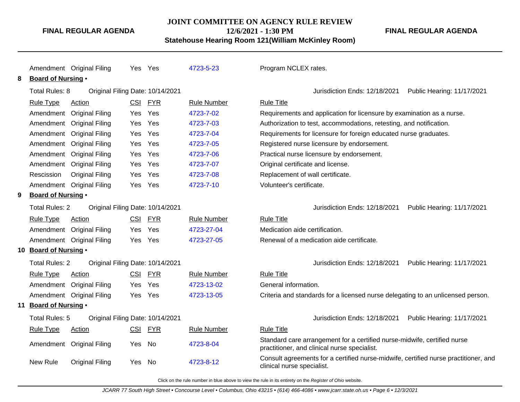#### **JOINT COMMITTEE ON AGENCY RULE REVIEW**

**12/6/2021 - 1:30 PM**

**Statehouse Hearing Room 121(William McKinley Room)**

Amendment Original Filing Yes Yes [4723-5-23](http://www.registerofohio.state.oh.us/jsps/publicdisplayrules/processPublicDisplayRules.jsp?entered_rule_no=4723-5-23&doWhat=GETBYRULENUM&raID=0) Program NCLEX rates. **8 Board of Nursing** • Total Rules: 8 Original Filing Date: 10/14/2021 Jurisdiction Ends: 12/18/2021 Public Hearing: 11/17/2021 Rule Type Action **CSI FYR** Rule Number Rule Title Amendment Original Filing Yes Yes [4723-7-02](http://www.registerofohio.state.oh.us/jsps/publicdisplayrules/processPublicDisplayRules.jsp?entered_rule_no=4723-7-02&doWhat=GETBYRULENUM&raID=0) Requirements and application for licensure by examination as a nurse. Amendment Original Filing Yes Yes [4723-7-03](http://www.registerofohio.state.oh.us/jsps/publicdisplayrules/processPublicDisplayRules.jsp?entered_rule_no=4723-7-03&doWhat=GETBYRULENUM&raID=0) Authorization to test, accommodations, retesting, and notification. Amendment Original Filing Yes Yes [4723-7-04](http://www.registerofohio.state.oh.us/jsps/publicdisplayrules/processPublicDisplayRules.jsp?entered_rule_no=4723-7-04&doWhat=GETBYRULENUM&raID=0) Requirements for licensure for foreign educated nurse graduates. Amendment Original Filing Yes Yes [4723-7-05](http://www.registerofohio.state.oh.us/jsps/publicdisplayrules/processPublicDisplayRules.jsp?entered_rule_no=4723-7-05&doWhat=GETBYRULENUM&raID=0) Registered nurse licensure by endorsement. Amendment Original Filing Yes Yes [4723-7-06](http://www.registerofohio.state.oh.us/jsps/publicdisplayrules/processPublicDisplayRules.jsp?entered_rule_no=4723-7-06&doWhat=GETBYRULENUM&raID=0) Practical nurse licensure by endorsement. Amendment Original Filing Yes Yes [4723-7-07](http://www.registerofohio.state.oh.us/jsps/publicdisplayrules/processPublicDisplayRules.jsp?entered_rule_no=4723-7-07&doWhat=GETBYRULENUM&raID=0) Original certificate and license. Rescission Original Filing Yes Yes [4723-7-08](http://www.registerofohio.state.oh.us/jsps/publicdisplayrules/processPublicDisplayRules.jsp?entered_rule_no=4723-7-08&doWhat=GETBYRULENUM&raID=0) Replacement of wall certificate. Amendment Original Filing Yes Yes [4723-7-10](http://www.registerofohio.state.oh.us/jsps/publicdisplayrules/processPublicDisplayRules.jsp?entered_rule_no=4723-7-10&doWhat=GETBYRULENUM&raID=0) Volunteer's certificate. **9 Board of Nursing** • Total Rules: 2 Original Filing Date: 10/14/2021 Jurisdiction Ends: 12/18/2021 Public Hearing: 11/17/2021 Rule Type Action **CSI FYR** Rule Number Rule Title Amendment Original Filing Yes Yes [4723-27-04](http://www.registerofohio.state.oh.us/jsps/publicdisplayrules/processPublicDisplayRules.jsp?entered_rule_no=4723-27-04&doWhat=GETBYRULENUM&raID=0) Medication aide certification. Amendment Original Filing Yes Yes [4723-27-05](http://www.registerofohio.state.oh.us/jsps/publicdisplayrules/processPublicDisplayRules.jsp?entered_rule_no=4723-27-05&doWhat=GETBYRULENUM&raID=0) Renewal of a medication aide certificate. **10 Board of Nursing** • Total Rules: 2 Original Filing Date: 10/14/2021 Jurisdiction Ends: 12/18/2021 Public Hearing: 11/17/2021 Rule Type Action CSI FYR Rule Number Rule Title Amendment Original Filing Yes Yes [4723-13-02](http://www.registerofohio.state.oh.us/jsps/publicdisplayrules/processPublicDisplayRules.jsp?entered_rule_no=4723-13-02&doWhat=GETBYRULENUM&raID=0) General information. Amendment Original Filing Yes Yes [4723-13-05](http://www.registerofohio.state.oh.us/jsps/publicdisplayrules/processPublicDisplayRules.jsp?entered_rule_no=4723-13-05&doWhat=GETBYRULENUM&raID=0) Criteria and standards for a licensed nurse delegating to an unlicensed person. **11 Board of Nursing** • Total Rules: 5 Original Filing Date: 10/14/2021 Jurisdiction Ends: 12/18/2021 Public Hearing: 11/17/2021 Rule Type Action CSI FYR Rule Number Rule Title Amendment Original Filing Yes No [4723-8-04](http://www.registerofohio.state.oh.us/jsps/publicdisplayrules/processPublicDisplayRules.jsp?entered_rule_no=4723-8-04&doWhat=GETBYRULENUM&raID=0) Standard care arrangement for a certified nurse-midwife, certified nurse practitioner, and clinical nurse specialist. New Rule Original Filing Yes No [4723-8-12](http://www.registerofohio.state.oh.us/jsps/publicdisplayrules/processPublicDisplayRules.jsp?entered_rule_no=4723-8-12&doWhat=GETBYRULENUM&raID=0) Consult agreements for a certified nurse-midwife, certified nurse practitioner, and clinical nurse specialist.

Click on the rule number in blue above to view the rule in its entirety on the Register of Ohio website.

**FINAL REGULAR AGENDA**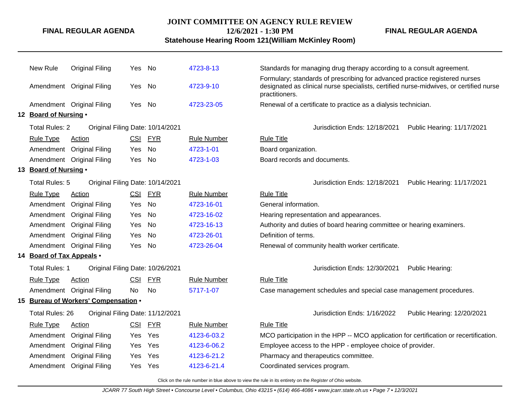#### **JOINT COMMITTEE ON AGENCY RULE REVIEW**

**12/6/2021 - 1:30 PM**

**Statehouse Hearing Room 121(William McKinley Room)**

**FINAL REGULAR AGENDA**

| New Rule                  | <b>Original Filing</b>               | Yes        | No         | 4723-8-13          | Standards for managing drug therapy according to a consult agreement.                                                                                                                   |
|---------------------------|--------------------------------------|------------|------------|--------------------|-----------------------------------------------------------------------------------------------------------------------------------------------------------------------------------------|
|                           | Amendment Original Filing            | Yes        | No         | 4723-9-10          | Formulary; standards of prescribing for advanced practice registered nurses<br>designated as clinical nurse specialists, certified nurse-midwives, or certified nurse<br>practitioners. |
|                           | Amendment Original Filing            | Yes        | No         | 4723-23-05         | Renewal of a certificate to practice as a dialysis technician.                                                                                                                          |
| 12 Board of Nursing .     |                                      |            |            |                    |                                                                                                                                                                                         |
| <b>Total Rules: 2</b>     | Original Filing Date: 10/14/2021     |            |            |                    | Jurisdiction Ends: 12/18/2021<br>Public Hearing: 11/17/2021                                                                                                                             |
| <b>Rule Type</b>          | Action                               | <b>CSI</b> | <b>FYR</b> | <b>Rule Number</b> | <b>Rule Title</b>                                                                                                                                                                       |
|                           | Amendment Original Filing            | Yes        | No         | 4723-1-01          | Board organization.                                                                                                                                                                     |
|                           | Amendment Original Filing            | Yes        | <b>No</b>  | 4723-1-03          | Board records and documents.                                                                                                                                                            |
| 13 Board of Nursing .     |                                      |            |            |                    |                                                                                                                                                                                         |
| Total Rules: 5            | Original Filing Date: 10/14/2021     |            |            |                    | Jurisdiction Ends: 12/18/2021<br>Public Hearing: 11/17/2021                                                                                                                             |
| <b>Rule Type</b>          | Action                               | CSI        | <b>FYR</b> | <b>Rule Number</b> | <b>Rule Title</b>                                                                                                                                                                       |
| Amendment                 | <b>Original Filing</b>               | Yes        | No         | 4723-16-01         | General information.                                                                                                                                                                    |
|                           | Amendment Original Filing            | Yes        | <b>No</b>  | 4723-16-02         | Hearing representation and appearances.                                                                                                                                                 |
|                           | Amendment Original Filing            | Yes        | No         | 4723-16-13         | Authority and duties of board hearing committee or hearing examiners.                                                                                                                   |
|                           | Amendment Original Filing            | <b>Yes</b> | No         | 4723-26-01         | Definition of terms.                                                                                                                                                                    |
|                           | Amendment Original Filing            | Yes        | No         | 4723-26-04         | Renewal of community health worker certificate.                                                                                                                                         |
| 14 Board of Tax Appeals . |                                      |            |            |                    |                                                                                                                                                                                         |
| <b>Total Rules: 1</b>     | Original Filing Date: 10/26/2021     |            |            |                    | Jurisdiction Ends: 12/30/2021<br>Public Hearing:                                                                                                                                        |
| <b>Rule Type</b>          | <b>Action</b>                        | <b>CSI</b> | <b>FYR</b> | <b>Rule Number</b> | <b>Rule Title</b>                                                                                                                                                                       |
|                           | Amendment Original Filing            | No.        | <b>No</b>  | 5717-1-07          | Case management schedules and special case management procedures.                                                                                                                       |
|                           | 15 Bureau of Workers' Compensation . |            |            |                    |                                                                                                                                                                                         |
| Total Rules: 26           | Original Filing Date: 11/12/2021     |            |            |                    | Jurisdiction Ends: 1/16/2022<br>Public Hearing: 12/20/2021                                                                                                                              |
| <b>Rule Type</b>          | Action                               | CSI        | <b>FYR</b> | <b>Rule Number</b> | <b>Rule Title</b>                                                                                                                                                                       |
| Amendment                 | <b>Original Filing</b>               | Yes        | Yes        | 4123-6-03.2        | MCO participation in the HPP -- MCO application for certification or recertification.                                                                                                   |
| Amendment                 | <b>Original Filing</b>               | Yes        | Yes        | 4123-6-06.2        | Employee access to the HPP - employee choice of provider.                                                                                                                               |
|                           | Amendment Original Filing            | Yes        | Yes        | 4123-6-21.2        | Pharmacy and therapeutics committee.                                                                                                                                                    |
|                           | Amendment Original Filing            | Yes        | Yes        | 4123-6-21.4        | Coordinated services program.                                                                                                                                                           |
|                           |                                      |            |            |                    |                                                                                                                                                                                         |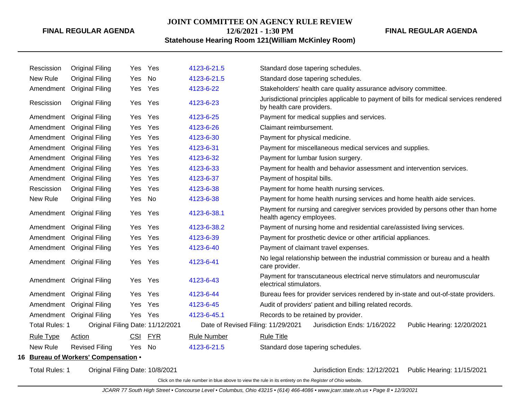#### **JOINT COMMITTEE ON AGENCY RULE REVIEW**

**12/6/2021 - 1:30 PM**

### **Statehouse Hearing Room 121(William McKinley Room)**

| Rescission | <b>Original Filing</b> | Yes                                                                                                                                                                                                                                                                                                                                                                                                                                                                                                                         | Yes                                  | 4123-6-21.5                                    | Standard dose tapering schedules.                                                                                   |  |  |  |
|------------|------------------------|-----------------------------------------------------------------------------------------------------------------------------------------------------------------------------------------------------------------------------------------------------------------------------------------------------------------------------------------------------------------------------------------------------------------------------------------------------------------------------------------------------------------------------|--------------------------------------|------------------------------------------------|---------------------------------------------------------------------------------------------------------------------|--|--|--|
| New Rule   | <b>Original Filing</b> | Yes                                                                                                                                                                                                                                                                                                                                                                                                                                                                                                                         | No                                   | 4123-6-21.5                                    | Standard dose tapering schedules.                                                                                   |  |  |  |
|            |                        | Yes                                                                                                                                                                                                                                                                                                                                                                                                                                                                                                                         | Yes                                  | 4123-6-22                                      | Stakeholders' health care quality assurance advisory committee.                                                     |  |  |  |
| Rescission | <b>Original Filing</b> | Yes                                                                                                                                                                                                                                                                                                                                                                                                                                                                                                                         | Yes                                  | 4123-6-23                                      | Jurisdictional principles applicable to payment of bills for medical services rendered<br>by health care providers. |  |  |  |
|            |                        | Yes                                                                                                                                                                                                                                                                                                                                                                                                                                                                                                                         | Yes                                  | 4123-6-25                                      | Payment for medical supplies and services.                                                                          |  |  |  |
|            |                        | Yes                                                                                                                                                                                                                                                                                                                                                                                                                                                                                                                         | Yes                                  | 4123-6-26                                      | Claimant reimbursement.                                                                                             |  |  |  |
|            |                        | Yes                                                                                                                                                                                                                                                                                                                                                                                                                                                                                                                         | Yes                                  | 4123-6-30                                      | Payment for physical medicine.                                                                                      |  |  |  |
|            |                        | Yes                                                                                                                                                                                                                                                                                                                                                                                                                                                                                                                         | Yes                                  | 4123-6-31                                      | Payment for miscellaneous medical services and supplies.                                                            |  |  |  |
|            |                        | <b>Yes</b>                                                                                                                                                                                                                                                                                                                                                                                                                                                                                                                  | Yes                                  | 4123-6-32                                      | Payment for lumbar fusion surgery.                                                                                  |  |  |  |
|            |                        | Yes                                                                                                                                                                                                                                                                                                                                                                                                                                                                                                                         | Yes                                  | 4123-6-33                                      | Payment for health and behavior assessment and intervention services.                                               |  |  |  |
|            |                        | Yes                                                                                                                                                                                                                                                                                                                                                                                                                                                                                                                         | Yes                                  | 4123-6-37                                      | Payment of hospital bills.                                                                                          |  |  |  |
| Rescission | <b>Original Filing</b> | Yes                                                                                                                                                                                                                                                                                                                                                                                                                                                                                                                         | Yes                                  | 4123-6-38                                      | Payment for home health nursing services.                                                                           |  |  |  |
| New Rule   | <b>Original Filing</b> | Yes                                                                                                                                                                                                                                                                                                                                                                                                                                                                                                                         | No                                   | 4123-6-38                                      | Payment for home health nursing services and home health aide services.                                             |  |  |  |
|            |                        | Yes                                                                                                                                                                                                                                                                                                                                                                                                                                                                                                                         | Yes                                  | 4123-6-38.1                                    | Payment for nursing and caregiver services provided by persons other than home<br>health agency employees.          |  |  |  |
|            |                        | Yes                                                                                                                                                                                                                                                                                                                                                                                                                                                                                                                         | Yes                                  | 4123-6-38.2                                    | Payment of nursing home and residential care/assisted living services.                                              |  |  |  |
|            |                        | Yes                                                                                                                                                                                                                                                                                                                                                                                                                                                                                                                         | Yes                                  | 4123-6-39                                      | Payment for prosthetic device or other artificial appliances.                                                       |  |  |  |
|            |                        | Yes                                                                                                                                                                                                                                                                                                                                                                                                                                                                                                                         | Yes                                  | 4123-6-40                                      | Payment of claimant travel expenses.                                                                                |  |  |  |
|            |                        | Yes                                                                                                                                                                                                                                                                                                                                                                                                                                                                                                                         | Yes                                  | 4123-6-41                                      | No legal relationship between the industrial commission or bureau and a health<br>care provider.                    |  |  |  |
|            |                        |                                                                                                                                                                                                                                                                                                                                                                                                                                                                                                                             | Yes                                  | 4123-6-43                                      | Payment for transcutaneous electrical nerve stimulators and neuromuscular<br>electrical stimulators.                |  |  |  |
|            |                        | Yes                                                                                                                                                                                                                                                                                                                                                                                                                                                                                                                         | Yes                                  | 4123-6-44                                      | Bureau fees for provider services rendered by in-state and out-of-state providers.                                  |  |  |  |
|            |                        | Yes                                                                                                                                                                                                                                                                                                                                                                                                                                                                                                                         | Yes                                  | 4123-6-45                                      | Audit of providers' patient and billing related records.                                                            |  |  |  |
|            |                        |                                                                                                                                                                                                                                                                                                                                                                                                                                                                                                                             | Yes                                  | 4123-6-45.1                                    | Records to be retained by provider.                                                                                 |  |  |  |
|            |                        |                                                                                                                                                                                                                                                                                                                                                                                                                                                                                                                             |                                      | Date of Revised Filing: 11/29/2021             | Jurisdiction Ends: 1/16/2022<br>Public Hearing: 12/20/2021                                                          |  |  |  |
| Rule Type  | Action                 | <b>CSI</b>                                                                                                                                                                                                                                                                                                                                                                                                                                                                                                                  | <b>FYR</b>                           | <b>Rule Number</b>                             | <b>Rule Title</b>                                                                                                   |  |  |  |
| New Rule   | <b>Revised Filing</b>  | <b>Yes</b>                                                                                                                                                                                                                                                                                                                                                                                                                                                                                                                  | No.                                  | 4123-6-21.5                                    | Standard dose tapering schedules.                                                                                   |  |  |  |
|            |                        |                                                                                                                                                                                                                                                                                                                                                                                                                                                                                                                             |                                      |                                                |                                                                                                                     |  |  |  |
|            |                        | Amendment Original Filing<br>Amendment Original Filing<br>Amendment Original Filing<br>Amendment Original Filing<br>Amendment Original Filing<br>Amendment Original Filing<br>Amendment Original Filing<br>Amendment Original Filing<br>Amendment Original Filing<br>Amendment Original Filing<br>Amendment Original Filing<br>Amendment Original Filing<br>Amendment Original Filing<br>Amendment Original Filing<br>Amendment Original Filing<br>Amendment Original Filing<br>Amendment Original Filing<br>Total Rules: 1 | 16 Bureau of Workers' Compensation . | Yes<br>Yes<br>Original Filing Date: 11/12/2021 |                                                                                                                     |  |  |  |

Total Rules: 1 Original Filing Date: 10/8/2021 Jurisdiction Ends: 12/12/2021 Public Hearing: 11/15/2021

Click on the rule number in blue above to view the rule in its entirety on the Register of Ohio website.

**FINAL REGULAR AGENDA**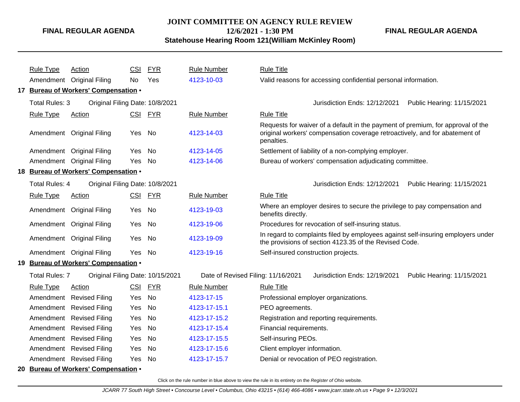### **JOINT COMMITTEE ON AGENCY RULE REVIEW 12/6/2021 - 1:30 PM**

**FINAL REGULAR AGENDA**

**Statehouse Hearing Room 121(William McKinley Room)**

|    | <b>Rule Type</b> | Action                                   | CSI        | <b>FYR</b> | <b>Rule Number</b>                 | <b>Rule Title</b>                                                                                                                                                            |
|----|------------------|------------------------------------------|------------|------------|------------------------------------|------------------------------------------------------------------------------------------------------------------------------------------------------------------------------|
|    |                  | Amendment Original Filing                | No         | Yes        | 4123-10-03                         | Valid reasons for accessing confidential personal information.                                                                                                               |
|    |                  | 17 Bureau of Workers' Compensation .     |            |            |                                    |                                                                                                                                                                              |
|    | Total Rules: 3   | Original Filing Date: 10/8/2021          |            |            |                                    | Jurisdiction Ends: 12/12/2021<br>Public Hearing: 11/15/2021                                                                                                                  |
|    | <b>Rule Type</b> | Action                                   | CSI        | <b>FYR</b> | <b>Rule Number</b>                 | <b>Rule Title</b>                                                                                                                                                            |
|    |                  | Amendment Original Filing                | Yes No     |            | 4123-14-03                         | Requests for waiver of a default in the payment of premium, for approval of the<br>original workers' compensation coverage retroactively, and for abatement of<br>penalties. |
|    |                  | Amendment Original Filing                | Yes        | No         | 4123-14-05                         | Settlement of liability of a non-complying employer.                                                                                                                         |
|    |                  | Amendment Original Filing                | Yes        | <b>No</b>  | 4123-14-06                         | Bureau of workers' compensation adjudicating committee.                                                                                                                      |
|    |                  | 18 Bureau of Workers' Compensation .     |            |            |                                    |                                                                                                                                                                              |
|    | Total Rules: 4   | Original Filing Date: 10/8/2021          |            |            |                                    | Jurisdiction Ends: 12/12/2021<br>Public Hearing: 11/15/2021                                                                                                                  |
|    | <b>Rule Type</b> | Action                                   | CSI        | <u>FYR</u> | <b>Rule Number</b>                 | <b>Rule Title</b>                                                                                                                                                            |
|    | Amendment        | <b>Original Filing</b>                   | Yes.       | No         | 4123-19-03                         | Where an employer desires to secure the privilege to pay compensation and<br>benefits directly.                                                                              |
|    |                  | Amendment Original Filing                | Yes        | No         | 4123-19-06                         | Procedures for revocation of self-insuring status.                                                                                                                           |
|    |                  | Amendment Original Filing                | Yes        | No         | 4123-19-09                         | In regard to complaints filed by employees against self-insuring employers under<br>the provisions of section 4123.35 of the Revised Code.                                   |
|    |                  | Amendment Original Filing                | Yes.       | <b>No</b>  | 4123-19-16                         | Self-insured construction projects.                                                                                                                                          |
| 19 |                  | <b>Bureau of Workers' Compensation •</b> |            |            |                                    |                                                                                                                                                                              |
|    | Total Rules: 7   | Original Filing Date: 10/15/2021         |            |            | Date of Revised Filing: 11/16/2021 | Jurisdiction Ends: 12/19/2021<br>Public Hearing: 11/15/2021                                                                                                                  |
|    | <b>Rule Type</b> | <b>Action</b>                            | <b>CSI</b> | <b>FYR</b> | <b>Rule Number</b>                 | <b>Rule Title</b>                                                                                                                                                            |
|    | Amendment        | <b>Revised Filing</b>                    | Yes        | <b>No</b>  | 4123-17-15                         | Professional employer organizations.                                                                                                                                         |
|    | Amendment        | <b>Revised Filing</b>                    | Yes        | No         | 4123-17-15.1                       | PEO agreements.                                                                                                                                                              |
|    | Amendment        | <b>Revised Filing</b>                    | Yes        | <b>No</b>  | 4123-17-15.2                       | Registration and reporting requirements.                                                                                                                                     |
|    | Amendment        | <b>Revised Filing</b>                    | Yes        | <b>No</b>  | 4123-17-15.4                       | Financial requirements.                                                                                                                                                      |
|    | Amendment        | <b>Revised Filing</b>                    | Yes        | No         | 4123-17-15.5                       | Self-insuring PEOs.                                                                                                                                                          |
|    | Amendment        | <b>Revised Filing</b>                    | Yes        | <b>No</b>  | 4123-17-15.6                       | Client employer information.                                                                                                                                                 |
|    |                  | Amendment Revised Filing                 | Yes        | No         | 4123-17-15.7                       | Denial or revocation of PEO registration.                                                                                                                                    |
|    |                  | 20 Bureau of Workers' Compensation .     |            |            |                                    |                                                                                                                                                                              |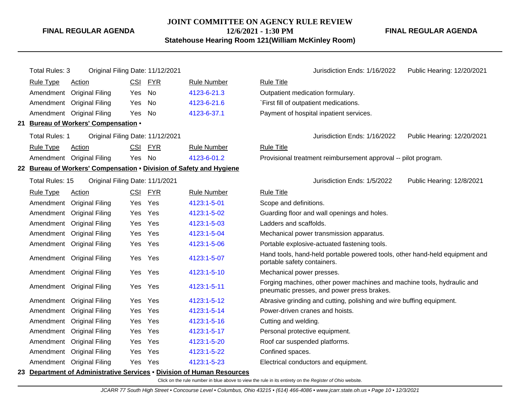### **JOINT COMMITTEE ON AGENCY RULE REVIEW 12/6/2021 - 1:30 PM**

**Statehouse Hearing Room 121(William McKinley Room)**

**FINAL REGULAR AGENDA**

| <b>Total Rules: 3</b>                              | Original Filing Date: 11/12/2021                                    |            |            |                    | Jurisdiction Ends: 1/16/2022<br>Public Hearing: 12/20/2021                                                            |
|----------------------------------------------------|---------------------------------------------------------------------|------------|------------|--------------------|-----------------------------------------------------------------------------------------------------------------------|
| <b>Rule Type</b>                                   | <b>Action</b>                                                       | <u>CSI</u> | <b>FYR</b> | <b>Rule Number</b> | <b>Rule Title</b>                                                                                                     |
| Amendment                                          | <b>Original Filing</b>                                              | Yes        | No         | 4123-6-21.3        | Outpatient medication formulary.                                                                                      |
|                                                    | Amendment Original Filing                                           | Yes        | No         | 4123-6-21.6        | `First fill of outpatient medications.                                                                                |
|                                                    | Amendment Original Filing                                           | Yes        | No         | 4123-6-37.1        | Payment of hospital inpatient services.                                                                               |
|                                                    | 21 Bureau of Workers' Compensation .                                |            |            |                    |                                                                                                                       |
| Total Rules: 1                                     | Original Filing Date: 11/12/2021                                    |            |            |                    | Jurisdiction Ends: 1/16/2022<br>Public Hearing: 12/20/2021                                                            |
| Rule Type                                          | Action                                                              | <b>CSI</b> | <b>FYR</b> | <b>Rule Number</b> | <b>Rule Title</b>                                                                                                     |
| Amendment Original Filing<br>Yes No<br>4123-6-01.2 |                                                                     |            |            |                    | Provisional treatment reimbursement approval -- pilot program.                                                        |
|                                                    | 22 Bureau of Workers' Compensation . Division of Safety and Hygiene |            |            |                    |                                                                                                                       |
| Total Rules: 15                                    | Original Filing Date: 11/1/2021                                     |            |            |                    | Jurisdiction Ends: 1/5/2022<br>Public Hearing: 12/8/2021                                                              |
| <b>Rule Type</b>                                   | <b>Action</b>                                                       | <u>CSI</u> | <b>FYR</b> | <b>Rule Number</b> | <b>Rule Title</b>                                                                                                     |
|                                                    | Amendment Original Filing                                           | Yes        | Yes        | 4123:1-5-01        | Scope and definitions.                                                                                                |
|                                                    | Amendment Original Filing                                           | Yes        | Yes        | 4123:1-5-02        | Guarding floor and wall openings and holes.                                                                           |
|                                                    | Amendment Original Filing                                           | Yes        | Yes        | 4123:1-5-03        | Ladders and scaffolds.                                                                                                |
|                                                    | Amendment Original Filing                                           | Yes        | Yes        | 4123:1-5-04        | Mechanical power transmission apparatus.                                                                              |
|                                                    | Amendment Original Filing                                           | Yes        | Yes        | 4123:1-5-06        | Portable explosive-actuated fastening tools.                                                                          |
|                                                    | Amendment Original Filing                                           | Yes        | Yes        | 4123:1-5-07        | Hand tools, hand-held portable powered tools, other hand-held equipment and<br>portable safety containers.            |
|                                                    | Amendment Original Filing                                           | Yes        | Yes        | 4123:1-5-10        | Mechanical power presses.                                                                                             |
|                                                    | Amendment Original Filing                                           | Yes        | Yes        | 4123:1-5-11        | Forging machines, other power machines and machine tools, hydraulic and<br>pneumatic presses, and power press brakes. |
|                                                    | Amendment Original Filing                                           | Yes        | Yes        | 4123:1-5-12        | Abrasive grinding and cutting, polishing and wire buffing equipment.                                                  |
|                                                    | Amendment Original Filing                                           | Yes        | Yes        | 4123:1-5-14        | Power-driven cranes and hoists.                                                                                       |
|                                                    | Amendment Original Filing                                           | Yes        | Yes        | 4123:1-5-16        | Cutting and welding.                                                                                                  |
|                                                    | Amendment Original Filing                                           | Yes        | Yes        | 4123:1-5-17        | Personal protective equipment.                                                                                        |
|                                                    | Amendment Original Filing                                           | Yes        | Yes        | 4123:1-5-20        | Roof car suspended platforms.                                                                                         |
|                                                    | Amendment Original Filing                                           | Yes        | Yes        | 4123:1-5-22        | Confined spaces.                                                                                                      |
|                                                    | Amendment Original Filing                                           | Yes        | Yes        | 4123:1-5-23        | Electrical conductors and equipment.                                                                                  |
|                                                    |                                                                     |            |            |                    |                                                                                                                       |

#### **23 Department of Administrative Services** • **Division of Human Resources**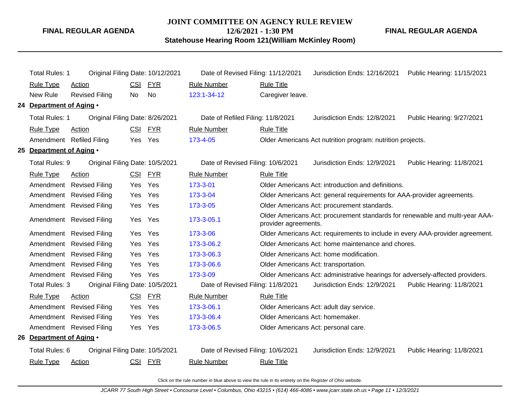# **JOINT COMMITTEE ON AGENCY RULE REVIEW 12/6/2021 - 1:30 PM**

**FINAL REGULAR AGENDA**

**Statehouse Hearing Room 121(William McKinley Room)**

| <b>Total Rules: 1</b>                             |                                 |            | Original Filing Date: 10/12/2021 | Date of Revised Filing: 11/12/2021 |                                                                                                      | Jurisdiction Ends: 12/16/2021                                                  | Public Hearing: 11/15/2021 |  |  |
|---------------------------------------------------|---------------------------------|------------|----------------------------------|------------------------------------|------------------------------------------------------------------------------------------------------|--------------------------------------------------------------------------------|----------------------------|--|--|
| Rule Type                                         | Action                          | <b>CSI</b> | FYR                              | <b>Rule Number</b>                 | <b>Rule Title</b>                                                                                    |                                                                                |                            |  |  |
| New Rule                                          | <b>Revised Filing</b>           | No         | No                               | 123:1-34-12                        | Caregiver leave.                                                                                     |                                                                                |                            |  |  |
| 24 Department of Aging .                          |                                 |            |                                  |                                    |                                                                                                      |                                                                                |                            |  |  |
| Total Rules: 1                                    | Original Filing Date: 8/26/2021 |            |                                  |                                    | Date of Refiled Filing: 11/8/2021<br>Jurisdiction Ends: 12/8/2021<br>Public Hearing: 9/27/2021       |                                                                                |                            |  |  |
| <b>Rule Type</b>                                  | <b>Action</b>                   | <u>CSI</u> | <u>FYR</u>                       | <b>Rule Number</b>                 | <b>Rule Title</b>                                                                                    |                                                                                |                            |  |  |
|                                                   | Amendment Refiled Filing        | Yes Yes    |                                  | 173-4-05                           |                                                                                                      | Older Americans Act nutrition program: nutrition projects.                     |                            |  |  |
| 25 Department of Aging .                          |                                 |            |                                  |                                    |                                                                                                      |                                                                                |                            |  |  |
| Total Rules: 9                                    | Original Filing Date: 10/5/2021 |            |                                  | Date of Revised Filing: 10/6/2021  |                                                                                                      | Jurisdiction Ends: 12/9/2021                                                   | Public Hearing: 11/8/2021  |  |  |
| <b>Rule Type</b>                                  | Action                          | CSI        | <u>FYR</u>                       | <b>Rule Number</b>                 | <b>Rule Title</b>                                                                                    |                                                                                |                            |  |  |
|                                                   | Amendment Revised Filing        | Yes        | Yes                              | 173-3-01                           |                                                                                                      | Older Americans Act: introduction and definitions.                             |                            |  |  |
|                                                   | Amendment Revised Filing        | Yes        | Yes                              | 173-3-04                           |                                                                                                      | Older Americans Act: general requirements for AAA-provider agreements.         |                            |  |  |
|                                                   | Amendment Revised Filing        | Yes        | Yes                              | 173-3-05                           |                                                                                                      | Older Americans Act: procurement standards.                                    |                            |  |  |
|                                                   | Amendment Revised Filing        | Yes Yes    |                                  | 173-3-05.1                         | Older Americans Act: procurement standards for renewable and multi-year AAA-<br>provider agreements. |                                                                                |                            |  |  |
|                                                   | Amendment Revised Filing        | Yes        | Yes                              | 173-3-06                           | Older Americans Act: requirements to include in every AAA-provider agreement.                        |                                                                                |                            |  |  |
|                                                   | Amendment Revised Filing        | Yes        | Yes                              | 173-3-06.2                         | Older Americans Act: home maintenance and chores.                                                    |                                                                                |                            |  |  |
|                                                   | Amendment Revised Filing        | Yes        | Yes                              | 173-3-06.3                         |                                                                                                      | Older Americans Act: home modification.                                        |                            |  |  |
|                                                   | Amendment Revised Filing        | Yes        | Yes                              | 173-3-06.6                         |                                                                                                      | Older Americans Act: transportation.                                           |                            |  |  |
|                                                   | Amendment Revised Filing        | Yes        | Yes                              | 173-3-09                           |                                                                                                      | Older Americans Act: administrative hearings for adversely-affected providers. |                            |  |  |
| Total Rules: 3                                    | Original Filing Date: 10/5/2021 |            |                                  | Date of Revised Filing: 11/8/2021  |                                                                                                      | Jurisdiction Ends: 12/9/2021                                                   | Public Hearing: 11/8/2021  |  |  |
| <b>Rule Type</b>                                  | Action                          | CSI        | FYR                              | <b>Rule Number</b>                 | <b>Rule Title</b>                                                                                    |                                                                                |                            |  |  |
|                                                   | Amendment Revised Filing        | Yes        | Yes                              | 173-3-06.1                         |                                                                                                      | Older Americans Act: adult day service.                                        |                            |  |  |
|                                                   | Amendment Revised Filing        | Yes        | Yes                              | 173-3-06.4                         |                                                                                                      | Older Americans Act: homemaker.                                                |                            |  |  |
|                                                   | Amendment Revised Filing        | Yes        | Yes                              | 173-3-06.5                         |                                                                                                      | Older Americans Act: personal care.                                            |                            |  |  |
| 26 Department of Aging .                          |                                 |            |                                  |                                    |                                                                                                      |                                                                                |                            |  |  |
| Total Rules: 6<br>Original Filing Date: 10/5/2021 |                                 |            |                                  | Date of Revised Filing: 10/6/2021  |                                                                                                      | Jurisdiction Ends: 12/9/2021                                                   | Public Hearing: 11/8/2021  |  |  |
| <b>Rule Type</b>                                  | <b>Action</b>                   |            | CSI FYR                          | <b>Rule Number</b>                 | <b>Rule Title</b>                                                                                    |                                                                                |                            |  |  |
|                                                   |                                 |            |                                  |                                    |                                                                                                      |                                                                                |                            |  |  |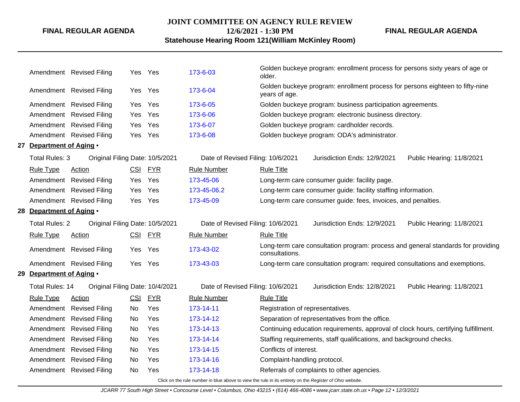#### **JOINT COMMITTEE ON AGENCY RULE REVIEW**

**12/6/2021 - 1:30 PM**

# **Statehouse Hearing Room 121(William McKinley Room)**

**FINAL REGULAR AGENDA**

|     |                              | Amendment Revised Filing        |            | Yes Yes    | 173-6-03                          | older.                           | Golden buckeye program: enrollment process for persons sixty years of age or        |                                                                                  |
|-----|------------------------------|---------------------------------|------------|------------|-----------------------------------|----------------------------------|-------------------------------------------------------------------------------------|----------------------------------------------------------------------------------|
|     |                              | Amendment Revised Filing        |            | Yes Yes    | 173-6-04                          | years of age.                    | Golden buckeye program: enrollment process for persons eighteen to fifty-nine       |                                                                                  |
|     |                              | Amendment Revised Filing        | Yes        | Yes        | 173-6-05                          |                                  | Golden buckeye program: business participation agreements.                          |                                                                                  |
|     |                              | Amendment Revised Filing        | Yes.       | Yes        | 173-6-06                          |                                  | Golden buckeye program: electronic business directory.                              |                                                                                  |
|     |                              | Amendment Revised Filing        | Yes        | Yes        | 173-6-07                          |                                  | Golden buckeye program: cardholder records.                                         |                                                                                  |
|     |                              | Amendment Revised Filing        | Yes        | Yes        | 173-6-08                          |                                  | Golden buckeye program: ODA's administrator.                                        |                                                                                  |
|     | 27 Department of Aging .     |                                 |            |            |                                   |                                  |                                                                                     |                                                                                  |
|     | Total Rules: 3               | Original Filing Date: 10/5/2021 |            |            | Date of Revised Filing: 10/6/2021 |                                  | Jurisdiction Ends: 12/9/2021                                                        | Public Hearing: 11/8/2021                                                        |
|     | <b>Rule Type</b>             | Action                          |            | CSI FYR    | <b>Rule Number</b>                | <b>Rule Title</b>                |                                                                                     |                                                                                  |
|     |                              | Amendment Revised Filing        | Yes        | Yes        | 173-45-06                         |                                  | Long-term care consumer guide: facility page.                                       |                                                                                  |
|     |                              | Amendment Revised Filing        | Yes        | Yes        | 173-45-06.2                       |                                  | Long-term care consumer guide: facility staffing information.                       |                                                                                  |
|     |                              | Amendment Revised Filing        | Yes        | Yes        | 173-45-09                         |                                  | Long-term care consumer guide: fees, invoices, and penalties.                       |                                                                                  |
|     | 28 Department of Aging .     |                                 |            |            |                                   |                                  |                                                                                     |                                                                                  |
|     | <b>Total Rules: 2</b>        | Original Filing Date: 10/5/2021 |            |            | Date of Revised Filing: 10/6/2021 |                                  | Jurisdiction Ends: 12/9/2021                                                        | Public Hearing: 11/8/2021                                                        |
|     | <b>Rule Type</b>             | Action                          |            | CSI FYR    | Rule Number                       | <b>Rule Title</b>                |                                                                                     |                                                                                  |
|     |                              | Amendment Revised Filing        | Yes        | Yes        | 173-43-02                         | consultations.                   |                                                                                     | Long-term care consultation program: process and general standards for providing |
|     |                              | Amendment Revised Filing        |            | Yes Yes    | 173-43-03                         |                                  | Long-term care consultation program: required consultations and exemptions.         |                                                                                  |
| 29. | <b>Department of Aging •</b> |                                 |            |            |                                   |                                  |                                                                                     |                                                                                  |
|     | Total Rules: 14              | Original Filing Date: 10/4/2021 |            |            | Date of Revised Filing: 10/6/2021 |                                  | Jurisdiction Ends: 12/8/2021                                                        | Public Hearing: 11/8/2021                                                        |
|     | <b>Rule Type</b>             | Action                          | <u>CSI</u> | <u>FYR</u> | <b>Rule Number</b>                | <b>Rule Title</b>                |                                                                                     |                                                                                  |
|     |                              | Amendment Revised Filing        | No         | Yes        | 173-14-11                         | Registration of representatives. |                                                                                     |                                                                                  |
|     |                              | Amendment Revised Filing        | No         | Yes        | 173-14-12                         |                                  | Separation of representatives from the office.                                      |                                                                                  |
|     |                              | Amendment Revised Filing        | No         | Yes        | 173-14-13                         |                                  | Continuing education requirements, approval of clock hours, certifying fulfillment. |                                                                                  |
|     |                              | Amendment Revised Filing        | No         | Yes        | 173-14-14                         |                                  | Staffing requirements, staff qualifications, and background checks.                 |                                                                                  |
|     |                              | Amendment Revised Filing        | No         | Yes        | 173-14-15                         | Conflicts of interest.           |                                                                                     |                                                                                  |
|     | Amendment                    | <b>Revised Filing</b>           | No         | Yes        | 173-14-16                         | Complaint-handling protocol.     |                                                                                     |                                                                                  |
|     |                              | Amendment Revised Filing        | No         | Yes        | 173-14-18                         |                                  | Referrals of complaints to other agencies.                                          |                                                                                  |
|     |                              |                                 |            |            |                                   |                                  |                                                                                     |                                                                                  |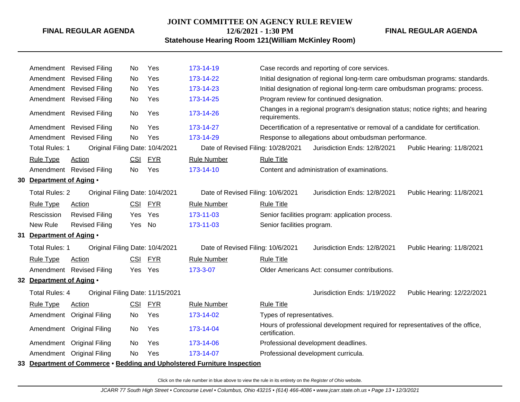### **JOINT COMMITTEE ON AGENCY RULE REVIEW 12/6/2021 - 1:30 PM**

**FINAL REGULAR AGENDA**

## **Statehouse Hearing Room 121(William McKinley Room)**

|                          | Amendment Revised Filing         | No         | Yes        | 173-14-19                                                                |                                                                                  | Case records and reporting of core services.                                   |                            |  |
|--------------------------|----------------------------------|------------|------------|--------------------------------------------------------------------------|----------------------------------------------------------------------------------|--------------------------------------------------------------------------------|----------------------------|--|
| Amendment                | <b>Revised Filing</b>            | No         | Yes        | 173-14-22                                                                |                                                                                  | Initial designation of regional long-term care ombudsman programs: standards.  |                            |  |
|                          | Amendment Revised Filing         | No         | Yes        | 173-14-23                                                                |                                                                                  | Initial designation of regional long-term care ombudsman programs: process.    |                            |  |
|                          | Amendment Revised Filing         | No         | Yes        | 173-14-25                                                                |                                                                                  | Program review for continued designation.                                      |                            |  |
|                          | Amendment Revised Filing         | No         | Yes        | 173-14-26                                                                | requirements.                                                                    | Changes in a regional program's designation status; notice rights; and hearing |                            |  |
|                          | Amendment Revised Filing         | No         | Yes        | 173-14-27                                                                | Decertification of a representative or removal of a candidate for certification. |                                                                                |                            |  |
|                          | Amendment Revised Filing         | <b>No</b>  | Yes        | 173-14-29                                                                | Response to allegations about ombudsman performance.                             |                                                                                |                            |  |
| <b>Total Rules: 1</b>    | Original Filing Date: 10/4/2021  |            |            | Date of Revised Filing: 10/28/2021                                       |                                                                                  | Jurisdiction Ends: 12/8/2021                                                   | Public Hearing: 11/8/2021  |  |
| <b>Rule Type</b>         | Action                           | <b>CSI</b> | <b>FYR</b> | <b>Rule Number</b>                                                       | <b>Rule Title</b>                                                                |                                                                                |                            |  |
|                          | Amendment Revised Filing         | No.        | Yes        | 173-14-10                                                                |                                                                                  | Content and administration of examinations.                                    |                            |  |
| 30 Department of Aging . |                                  |            |            |                                                                          |                                                                                  |                                                                                |                            |  |
| <b>Total Rules: 2</b>    | Original Filing Date: 10/4/2021  |            |            | Date of Revised Filing: 10/6/2021                                        |                                                                                  | Jurisdiction Ends: 12/8/2021                                                   | Public Hearing: 11/8/2021  |  |
| <b>Rule Type</b>         | <b>Action</b>                    |            | CSI FYR    | <b>Rule Number</b>                                                       | <b>Rule Title</b>                                                                |                                                                                |                            |  |
| Rescission               | <b>Revised Filing</b>            | Yes.       | Yes        | 173-11-03                                                                |                                                                                  | Senior facilities program: application process.                                |                            |  |
| New Rule                 | <b>Revised Filing</b>            | Yes        | No         | 173-11-03                                                                | Senior facilities program.                                                       |                                                                                |                            |  |
| 31 Department of Aging . |                                  |            |            |                                                                          |                                                                                  |                                                                                |                            |  |
| <b>Total Rules: 1</b>    | Original Filing Date: 10/4/2021  |            |            | Date of Revised Filing: 10/6/2021                                        |                                                                                  | Jurisdiction Ends: 12/8/2021                                                   | Public Hearing: 11/8/2021  |  |
| <b>Rule Type</b>         | <b>Action</b>                    | <b>CSI</b> | <b>FYR</b> | <b>Rule Number</b>                                                       | <b>Rule Title</b>                                                                |                                                                                |                            |  |
|                          | Amendment Revised Filing         | Yes Yes    |            | 173-3-07                                                                 |                                                                                  | Older Americans Act: consumer contributions.                                   |                            |  |
| 32 Department of Aging . |                                  |            |            |                                                                          |                                                                                  |                                                                                |                            |  |
| <b>Total Rules: 4</b>    | Original Filing Date: 11/15/2021 |            |            |                                                                          |                                                                                  | Jurisdiction Ends: 1/19/2022                                                   | Public Hearing: 12/22/2021 |  |
| <b>Rule Type</b>         | Action                           | <b>CSI</b> | <b>FYR</b> | <b>Rule Number</b>                                                       | <b>Rule Title</b>                                                                |                                                                                |                            |  |
| Amendment                | <b>Original Filing</b>           | No.        | Yes        | 173-14-02                                                                | Types of representatives.                                                        |                                                                                |                            |  |
|                          | Amendment Original Filing        | No         | Yes        | 173-14-04                                                                | certification.                                                                   | Hours of professional development required for representatives of the office,  |                            |  |
|                          | Amendment Original Filing        | No         | Yes        | 173-14-06                                                                |                                                                                  | Professional development deadlines.                                            |                            |  |
| Amendment                | <b>Original Filing</b>           | No         | Yes        | 173-14-07                                                                |                                                                                  | Professional development curricula.                                            |                            |  |
|                          |                                  |            |            | 33 Department of Commerce • Bedding and Upholstered Furniture Inspection |                                                                                  |                                                                                |                            |  |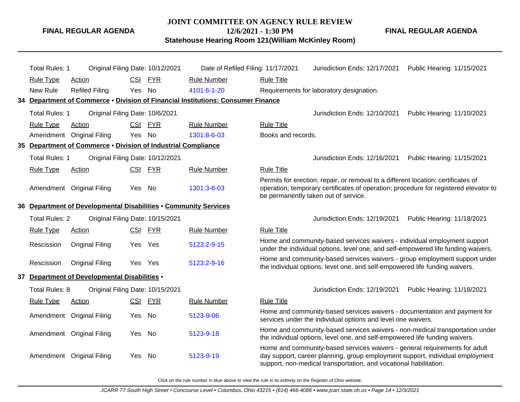#### **JOINT COMMITTEE ON AGENCY RULE REVIEW**

**12/6/2021 - 1:30 PM**

**Statehouse Hearing Room 121(William McKinley Room)**

**FINAL REGULAR AGENDA**

| <b>Total Rules: 1</b> | Original Filing Date: 10/12/2021                                 |            |            | Date of Refiled Filing: 11/17/2021                                               |                    | Jurisdiction Ends: 12/17/2021                                                                                                                                                                                                    | Public Hearing: 11/15/2021 |
|-----------------------|------------------------------------------------------------------|------------|------------|----------------------------------------------------------------------------------|--------------------|----------------------------------------------------------------------------------------------------------------------------------------------------------------------------------------------------------------------------------|----------------------------|
| <b>Rule Type</b>      | <b>Action</b>                                                    | <b>CSI</b> | <b>FYR</b> | <b>Rule Number</b>                                                               | <b>Rule Title</b>  |                                                                                                                                                                                                                                  |                            |
| New Rule              | <b>Refiled Filing</b>                                            | Yes No     |            | 4101:6-1-20                                                                      |                    | Requirements for laboratory designation.                                                                                                                                                                                         |                            |
|                       |                                                                  |            |            | 34 Department of Commerce • Division of Financial Institutions: Consumer Finance |                    |                                                                                                                                                                                                                                  |                            |
| <b>Total Rules: 1</b> | Original Filing Date: 10/6/2021                                  |            |            |                                                                                  |                    | Jurisdiction Ends: 12/10/2021                                                                                                                                                                                                    | Public Hearing: 11/10/2021 |
| <b>Rule Type</b>      | Action                                                           | <b>CSI</b> | <b>FYR</b> | <b>Rule Number</b>                                                               | <b>Rule Title</b>  |                                                                                                                                                                                                                                  |                            |
|                       | Amendment Original Filing                                        | Yes        | No         | 1301:8-6-03                                                                      | Books and records. |                                                                                                                                                                                                                                  |                            |
|                       | 35 Department of Commerce . Division of Industrial Compliance    |            |            |                                                                                  |                    |                                                                                                                                                                                                                                  |                            |
| <b>Total Rules: 1</b> | Original Filing Date: 10/12/2021                                 |            |            |                                                                                  |                    | Jurisdiction Ends: 12/16/2021                                                                                                                                                                                                    | Public Hearing: 11/15/2021 |
| <b>Rule Type</b>      | <b>Action</b>                                                    | <b>CSI</b> | <b>FYR</b> | <b>Rule Number</b>                                                               | <b>Rule Title</b>  |                                                                                                                                                                                                                                  |                            |
|                       | Amendment Original Filing                                        | Yes No     |            | 1301:3-6-03                                                                      |                    | Permits for erection, repair, or removal to a different location; certificates of<br>operation; temporary certificates of operation; procedure for registered elevator to<br>be permanently taken out of service.                |                            |
|                       | 36 Department of Developmental Disabilities . Community Services |            |            |                                                                                  |                    |                                                                                                                                                                                                                                  |                            |
| <b>Total Rules: 2</b> | Original Filing Date: 10/15/2021                                 |            |            |                                                                                  |                    | Jurisdiction Ends: 12/19/2021                                                                                                                                                                                                    | Public Hearing: 11/18/2021 |
| Rule Type             | <b>Action</b>                                                    |            | CSI FYR    | <b>Rule Number</b>                                                               | <b>Rule Title</b>  |                                                                                                                                                                                                                                  |                            |
| Rescission            | <b>Original Filing</b>                                           | Yes        | Yes        | 5123:2-9-15                                                                      |                    | Home and community-based services waivers - individual employment support<br>under the individual options, level one, and self-empowered life funding waivers.                                                                   |                            |
| Rescission            | <b>Original Filing</b>                                           | Yes Yes    |            | 5123:2-9-16                                                                      |                    | Home and community-based services waivers - group employment support under<br>the individual options, level one, and self-empowered life funding waivers.                                                                        |                            |
|                       | 37 Department of Developmental Disabilities .                    |            |            |                                                                                  |                    |                                                                                                                                                                                                                                  |                            |
| Total Rules: 8        | Original Filing Date: 10/15/2021                                 |            |            |                                                                                  |                    | Jurisdiction Ends: 12/19/2021                                                                                                                                                                                                    | Public Hearing: 11/18/2021 |
| <b>Rule Type</b>      | <b>Action</b>                                                    | <u>CSI</u> | <b>FYR</b> | <b>Rule Number</b>                                                               | <b>Rule Title</b>  |                                                                                                                                                                                                                                  |                            |
|                       | Amendment Original Filing                                        | Yes        | No         | 5123-9-06                                                                        |                    | Home and community-based services waivers - documentation and payment for<br>services under the individual options and level one waivers.                                                                                        |                            |
|                       | Amendment Original Filing                                        | Yes        | No         | 5123-9-18                                                                        |                    | Home and community-based services waivers - non-medical transportation under<br>the individual options, level one, and self-empowered life funding waivers.                                                                      |                            |
|                       | Amendment Original Filing                                        | Yes        | No         | 5123-9-19                                                                        |                    | Home and community-based services waivers - general requirements for adult<br>day support, career planning, group employment support, individual employment<br>support, non-medical transportation, and vocational habilitation. |                            |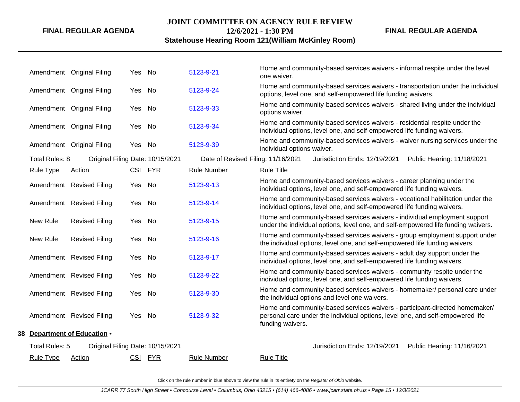#### **JOINT COMMITTEE ON AGENCY RULE REVIEW**

**FINAL REGULAR AGENDA**

## **12/6/2021 - 1:30 PM Statehouse Hearing Room 121(William McKinley Room)**

|                  | Amendment Original Filing        | Yes No  |         | 5123-9-21                          | Home and community-based services waivers - informal respite under the level<br>one waiver.                                                                                       |
|------------------|----------------------------------|---------|---------|------------------------------------|-----------------------------------------------------------------------------------------------------------------------------------------------------------------------------------|
|                  | Amendment Original Filing        | Yes     | No      | 5123-9-24                          | Home and community-based services waivers - transportation under the individual<br>options, level one, and self-empowered life funding waivers.                                   |
|                  | Amendment Original Filing        | Yes No  |         | 5123-9-33                          | Home and community-based services waivers - shared living under the individual<br>options waiver.                                                                                 |
|                  | Amendment Original Filing        | Yes No  |         | 5123-9-34                          | Home and community-based services waivers - residential respite under the<br>individual options, level one, and self-empowered life funding waivers.                              |
|                  | Amendment Original Filing        | Yes No  |         | 5123-9-39                          | Home and community-based services waivers - waiver nursing services under the<br>individual options waiver.                                                                       |
| Total Rules: 8   | Original Filing Date: 10/15/2021 |         |         | Date of Revised Filing: 11/16/2021 | Jurisdiction Ends: 12/19/2021<br>Public Hearing: 11/18/2021                                                                                                                       |
| <b>Rule Type</b> | Action                           |         | CSI FYR | <b>Rule Number</b>                 | <b>Rule Title</b>                                                                                                                                                                 |
|                  | Amendment Revised Filing         | Yes     | No      | 5123-9-13                          | Home and community-based services waivers - career planning under the<br>individual options, level one, and self-empowered life funding waivers.                                  |
|                  | Amendment Revised Filing         | Yes No  |         | 5123-9-14                          | Home and community-based services waivers - vocational habilitation under the<br>individual options, level one, and self-empowered life funding waivers.                          |
| New Rule         | <b>Revised Filing</b>            | Yes No  |         | 5123-9-15                          | Home and community-based services waivers - individual employment support<br>under the individual options, level one, and self-empowered life funding waivers.                    |
| New Rule         | <b>Revised Filing</b>            | Yes No  |         | 5123-9-16                          | Home and community-based services waivers - group employment support under<br>the individual options, level one, and self-empowered life funding waivers.                         |
|                  | Amendment Revised Filing         | Yes     | No      | 5123-9-17                          | Home and community-based services waivers - adult day support under the<br>individual options, level one, and self-empowered life funding waivers.                                |
|                  | Amendment Revised Filing         | Yes No  |         | 5123-9-22                          | Home and community-based services waivers - community respite under the<br>individual options, level one, and self-empowered life funding waivers.                                |
|                  | Amendment Revised Filing         | Yes     | No      | 5123-9-30                          | Home and community-based services waivers - homemaker/ personal care under<br>the individual options and level one waivers.                                                       |
|                  | Amendment Revised Filing         | Yes No  |         | 5123-9-32                          | Home and community-based services waivers - participant-directed homemaker/<br>personal care under the individual options, level one, and self-empowered life<br>funding waivers. |
|                  | 38 Department of Education .     |         |         |                                    |                                                                                                                                                                                   |
| Total Rules: 5   | Original Filing Date: 10/15/2021 |         |         |                                    | Jurisdiction Ends: 12/19/2021<br>Public Hearing: 11/16/2021                                                                                                                       |
| <b>Rule Type</b> | Action                           | CSI FYR |         | <b>Rule Number</b>                 | <b>Rule Title</b>                                                                                                                                                                 |
|                  |                                  |         |         |                                    |                                                                                                                                                                                   |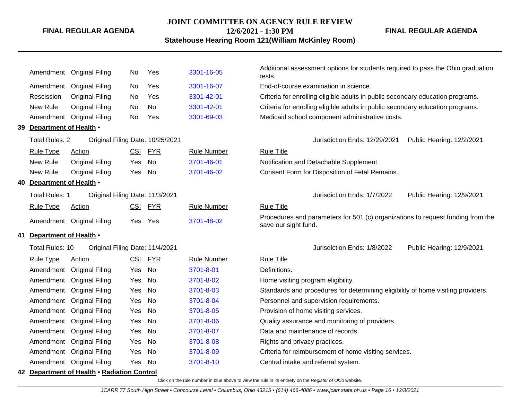#### **JOINT COMMITTEE ON AGENCY RULE REVIEW**

**12/6/2021 - 1:30 PM Statehouse Hearing Room 121(William McKinley Room)**

Additional assessment options for students required to pass the Ohio graduation<br>Antendment Original Filing No Yes [3301-16-05](http://www.registerofohio.state.oh.us/jsps/publicdisplayrules/processPublicDisplayRules.jsp?entered_rule_no=3301-16-05&doWhat=GETBYRULENUM&raID=0) tests. Amendment Original Filing No Yes [3301-16-07](http://www.registerofohio.state.oh.us/jsps/publicdisplayrules/processPublicDisplayRules.jsp?entered_rule_no=3301-16-07&doWhat=GETBYRULENUM&raID=0) End-of-course examination in science. Rescission Original Filing No Yes [3301-42-01](http://www.registerofohio.state.oh.us/jsps/publicdisplayrules/processPublicDisplayRules.jsp?entered_rule_no=3301-42-01&doWhat=GETBYRULENUM&raID=0) Criteria for enrolling eligible adults in public secondary education programs. New Rule Original Filing No No [3301-42-01](http://www.registerofohio.state.oh.us/jsps/publicdisplayrules/processPublicDisplayRules.jsp?entered_rule_no=3301-42-01&doWhat=GETBYRULENUM&raID=0) Criteria for enrolling eligible adults in public secondary education programs. Amendment Original Filing No Yes [3301-69-03](http://www.registerofohio.state.oh.us/jsps/publicdisplayrules/processPublicDisplayRules.jsp?entered_rule_no=3301-69-03&doWhat=GETBYRULENUM&raID=0) Medicaid school component administrative costs. **39 Department of Health** • Total Rules: 2 Original Filing Date: 10/25/2021 <br>
Jurisdiction Ends: 12/29/2021 Public Hearing: 12/2/2021 Rule Type Action **CSI FYR** Rule Number Rule Title New Rule Original Filing Yes No [3701-46-01](http://www.registerofohio.state.oh.us/jsps/publicdisplayrules/processPublicDisplayRules.jsp?entered_rule_no=3701-46-01&doWhat=GETBYRULENUM&raID=0) Notification and Detachable Supplement. New Rule Original Filing Yes No [3701-46-02](http://www.registerofohio.state.oh.us/jsps/publicdisplayrules/processPublicDisplayRules.jsp?entered_rule_no=3701-46-02&doWhat=GETBYRULENUM&raID=0) Consent Form for Disposition of Fetal Remains. **40 Department of Health** • Total Rules: 1 Original Filing Date: 11/3/2021 Jurisdiction Ends: 1/7/2022 Public Hearing: 12/9/2021 Rule Type Action **CSI FYR** Rule Number Rule Title Amendment Original Filing Yes Yes [3701-48-02](http://www.registerofohio.state.oh.us/jsps/publicdisplayrules/processPublicDisplayRules.jsp?entered_rule_no=3701-48-02&doWhat=GETBYRULENUM&raID=0) Procedures and parameters for 501 (c) organizations to request funding from the save our sight fund. **41 Department of Health** • Total Rules: 10 Original Filing Date: 11/4/2021 Jurisdiction Ends: 1/8/2022 Public Hearing: 12/9/2021 Rule Type Action **CSI FYR** Rule Number Rule Title Amendment Original Filing Yes No [3701-8-01](http://www.registerofohio.state.oh.us/jsps/publicdisplayrules/processPublicDisplayRules.jsp?entered_rule_no=3701-8-01&doWhat=GETBYRULENUM&raID=0) Definitions. Amendment Original Filing Yes No [3701-8-02](http://www.registerofohio.state.oh.us/jsps/publicdisplayrules/processPublicDisplayRules.jsp?entered_rule_no=3701-8-02&doWhat=GETBYRULENUM&raID=0) Home visiting program eligibility. Amendment Original Filing Yes No [3701-8-03](http://www.registerofohio.state.oh.us/jsps/publicdisplayrules/processPublicDisplayRules.jsp?entered_rule_no=3701-8-03&doWhat=GETBYRULENUM&raID=0) Standards and procedures for determining eligibility of home visiting providers. Amendment Original Filing Yes No [3701-8-04](http://www.registerofohio.state.oh.us/jsps/publicdisplayrules/processPublicDisplayRules.jsp?entered_rule_no=3701-8-04&doWhat=GETBYRULENUM&raID=0) Personnel and supervision requirements. Amendment Original Filing Yes No [3701-8-05](http://www.registerofohio.state.oh.us/jsps/publicdisplayrules/processPublicDisplayRules.jsp?entered_rule_no=3701-8-05&doWhat=GETBYRULENUM&raID=0) Provision of home visiting services. Amendment Original Filing Yes No [3701-8-06](http://www.registerofohio.state.oh.us/jsps/publicdisplayrules/processPublicDisplayRules.jsp?entered_rule_no=3701-8-06&doWhat=GETBYRULENUM&raID=0) Quality assurance and monitoring of providers. Amendment Original Filing Yes No [3701-8-07](http://www.registerofohio.state.oh.us/jsps/publicdisplayrules/processPublicDisplayRules.jsp?entered_rule_no=3701-8-07&doWhat=GETBYRULENUM&raID=0) Data and maintenance of records. Amendment Original Filing Yes No [3701-8-08](http://www.registerofohio.state.oh.us/jsps/publicdisplayrules/processPublicDisplayRules.jsp?entered_rule_no=3701-8-08&doWhat=GETBYRULENUM&raID=0) Rights and privacy practices. Amendment Original Filing Yes No [3701-8-09](http://www.registerofohio.state.oh.us/jsps/publicdisplayrules/processPublicDisplayRules.jsp?entered_rule_no=3701-8-09&doWhat=GETBYRULENUM&raID=0) Criteria for reimbursement of home visiting services. Amendment Original Filing Yes No [3701-8-10](http://www.registerofohio.state.oh.us/jsps/publicdisplayrules/processPublicDisplayRules.jsp?entered_rule_no=3701-8-10&doWhat=GETBYRULENUM&raID=0) Central intake and referral system.

#### **42 Department of Health** • **Radiation Control**

Click on the rule number in blue above to view the rule in its entirety on the Register of Ohio website.

**FINAL REGULAR AGENDA**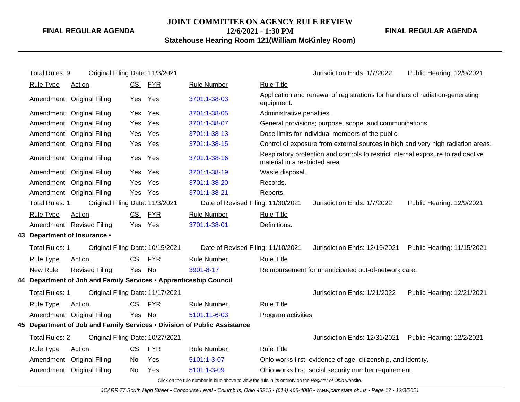# **JOINT COMMITTEE ON AGENCY RULE REVIEW 12/6/2021 - 1:30 PM**

**FINAL REGULAR AGENDA**

**Statehouse Hearing Room 121(William McKinley Room)**

| Total Rules: 9        | Original Filing Date: 11/3/2021                                   |            |            |                                                                                                                |                                | Jurisdiction Ends: 1/7/2022                                                      | Public Hearing: 12/9/2021  |
|-----------------------|-------------------------------------------------------------------|------------|------------|----------------------------------------------------------------------------------------------------------------|--------------------------------|----------------------------------------------------------------------------------|----------------------------|
| <b>Rule Type</b>      | <b>Action</b>                                                     |            | CSI FYR    | <b>Rule Number</b>                                                                                             | <b>Rule Title</b>              |                                                                                  |                            |
|                       | Amendment Original Filing                                         | <b>Yes</b> | Yes        | 3701:1-38-03                                                                                                   | equipment.                     | Application and renewal of registrations for handlers of radiation-generating    |                            |
|                       | Amendment Original Filing                                         | Yes        | Yes        | 3701:1-38-05                                                                                                   | Administrative penalties.      |                                                                                  |                            |
| Amendment             | <b>Original Filing</b>                                            | Yes        | Yes        | 3701:1-38-07                                                                                                   |                                | General provisions; purpose, scope, and communications.                          |                            |
| Amendment             | <b>Original Filing</b>                                            | Yes        | Yes        | 3701:1-38-13                                                                                                   |                                | Dose limits for individual members of the public.                                |                            |
|                       | Amendment Original Filing                                         | Yes        | Yes        | 3701:1-38-15                                                                                                   |                                | Control of exposure from external sources in high and very high radiation areas. |                            |
|                       | Amendment Original Filing                                         | Yes        | Yes        | 3701:1-38-16                                                                                                   | material in a restricted area. | Respiratory protection and controls to restrict internal exposure to radioactive |                            |
|                       | Amendment Original Filing                                         | Yes        | Yes        | 3701:1-38-19                                                                                                   | Waste disposal.                |                                                                                  |                            |
| Amendment             | <b>Original Filing</b>                                            | Yes        | Yes        | 3701:1-38-20                                                                                                   | Records.                       |                                                                                  |                            |
|                       | Amendment Original Filing                                         | Yes        | Yes        | 3701:1-38-21                                                                                                   | Reports.                       |                                                                                  |                            |
| <b>Total Rules: 1</b> | Original Filing Date: 11/3/2021                                   |            |            | Date of Revised Filing: 11/30/2021                                                                             |                                | Jurisdiction Ends: 1/7/2022                                                      | Public Hearing: 12/9/2021  |
| <b>Rule Type</b>      | <b>Action</b>                                                     | <u>CSI</u> | <u>FYR</u> | <b>Rule Number</b>                                                                                             | <b>Rule Title</b>              |                                                                                  |                            |
|                       | Amendment Revised Filing                                          | Yes.       | Yes        | 3701:1-38-01                                                                                                   | Definitions.                   |                                                                                  |                            |
|                       | 43 Department of Insurance .                                      |            |            |                                                                                                                |                                |                                                                                  |                            |
| Total Rules: 1        | Original Filing Date: 10/15/2021                                  |            |            | Date of Revised Filing: 11/10/2021                                                                             |                                | Jurisdiction Ends: 12/19/2021                                                    | Public Hearing: 11/15/2021 |
| <b>Rule Type</b>      | <b>Action</b>                                                     | <u>CSI</u> | <u>FYR</u> | <b>Rule Number</b>                                                                                             | <b>Rule Title</b>              |                                                                                  |                            |
| New Rule              | <b>Revised Filing</b>                                             | Yes        | No         | 3901-8-17                                                                                                      |                                | Reimbursement for unanticipated out-of-network care.                             |                            |
|                       | 44 Department of Job and Family Services . Apprenticeship Council |            |            |                                                                                                                |                                |                                                                                  |                            |
| Total Rules: 1        | Original Filing Date: 11/17/2021                                  |            |            |                                                                                                                |                                | Jurisdiction Ends: 1/21/2022                                                     | Public Hearing: 12/21/2021 |
| <b>Rule Type</b>      | Action                                                            | <u>CSI</u> | <b>FYR</b> | <b>Rule Number</b>                                                                                             | <b>Rule Title</b>              |                                                                                  |                            |
|                       | Amendment Original Filing                                         | Yes        | No         | 5101:11-6-03                                                                                                   | Program activities.            |                                                                                  |                            |
|                       |                                                                   |            |            | 45 Department of Job and Family Services • Division of Public Assistance                                       |                                |                                                                                  |                            |
| <b>Total Rules: 2</b> | Original Filing Date: 10/27/2021                                  |            |            |                                                                                                                |                                | Jurisdiction Ends: 12/31/2021                                                    | Public Hearing: 12/2/2021  |
| <b>Rule Type</b>      | Action                                                            | CSI        | <b>FYR</b> | <b>Rule Number</b>                                                                                             | <b>Rule Title</b>              |                                                                                  |                            |
|                       | Amendment Original Filing                                         | No         | Yes        | 5101:1-3-07                                                                                                    |                                | Ohio works first: evidence of age, citizenship, and identity.                    |                            |
|                       | Amendment Original Filing                                         | No         | Yes        | 5101:1-3-09                                                                                                    |                                | Ohio works first: social security number requirement.                            |                            |
|                       |                                                                   |            |            | Click on the rule number in blue above to view the rule in its entirety on the <i>Pegister of Ohio website</i> |                                |                                                                                  |                            |

Click on the rule number in blue above to view the rule in its entirety on the Register of Ohio website.

JCARR 77 South High Street • Concourse Level • Columbus, Ohio 43215 • (614) 466-4086 • www.jcarr.state.oh.us • Page 17 • 12/3/2021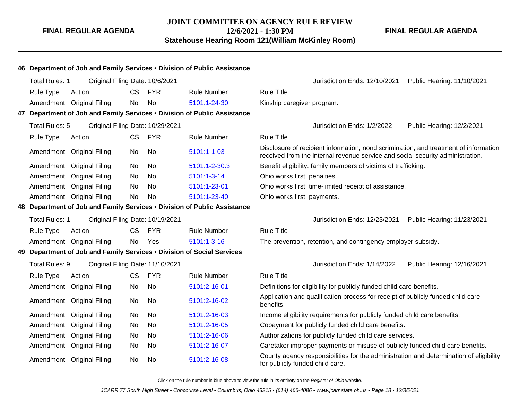**FINAL REGULAR AGENDA**

|                       |                                                                        |            |            | 46 Department of Job and Family Services . Division of Public Assistance |                                                                                                                                                                        |
|-----------------------|------------------------------------------------------------------------|------------|------------|--------------------------------------------------------------------------|------------------------------------------------------------------------------------------------------------------------------------------------------------------------|
| <b>Total Rules: 1</b> | Original Filing Date: 10/6/2021                                        |            |            |                                                                          | Jurisdiction Ends: 12/10/2021<br>Public Hearing: 11/10/2021                                                                                                            |
| <b>Rule Type</b>      | Action                                                                 | <b>CSI</b> | <b>FYR</b> | <b>Rule Number</b>                                                       | <b>Rule Title</b>                                                                                                                                                      |
|                       | Amendment Original Filing                                              | <b>No</b>  | <b>No</b>  | 5101:1-24-30                                                             | Kinship caregiver program.                                                                                                                                             |
|                       |                                                                        |            |            | 47 Department of Job and Family Services . Division of Public Assistance |                                                                                                                                                                        |
| Total Rules: 5        | Original Filing Date: 10/29/2021                                       |            |            |                                                                          | Jurisdiction Ends: 1/2/2022<br>Public Hearing: 12/2/2021                                                                                                               |
| <b>Rule Type</b>      | <b>Action</b>                                                          |            | CSI FYR    | <b>Rule Number</b>                                                       | <b>Rule Title</b>                                                                                                                                                      |
|                       | Amendment Original Filing                                              | No         | No         | 5101:1-1-03                                                              | Disclosure of recipient information, nondiscrimination, and treatment of information<br>received from the internal revenue service and social security administration. |
| Amendment             | <b>Original Filing</b>                                                 | No         | <b>No</b>  | 5101:1-2-30.3                                                            | Benefit eligibility: family members of victims of trafficking.                                                                                                         |
| Amendment             | <b>Original Filing</b>                                                 | No         | No         | 5101:1-3-14                                                              | Ohio works first: penalties.                                                                                                                                           |
| Amendment             | <b>Original Filing</b>                                                 | No         | <b>No</b>  | 5101:1-23-01                                                             | Ohio works first: time-limited receipt of assistance.                                                                                                                  |
|                       | Amendment Original Filing                                              | No         | No         | 5101:1-23-40                                                             | Ohio works first: payments.                                                                                                                                            |
|                       |                                                                        |            |            | 48 Department of Job and Family Services . Division of Public Assistance |                                                                                                                                                                        |
| <b>Total Rules: 1</b> | Original Filing Date: 10/19/2021                                       |            |            |                                                                          | Jurisdiction Ends: 12/23/2021<br>Public Hearing: 11/23/2021                                                                                                            |
| <b>Rule Type</b>      | Action                                                                 | <b>CSI</b> | <b>FYR</b> | <b>Rule Number</b>                                                       | <b>Rule Title</b>                                                                                                                                                      |
| Amendment             | <b>Original Filing</b>                                                 | No         | Yes        | 5101:1-3-16                                                              | The prevention, retention, and contingency employer subsidy.                                                                                                           |
|                       | 49 Department of Job and Family Services . Division of Social Services |            |            |                                                                          |                                                                                                                                                                        |
| Total Rules: 9        | Original Filing Date: 11/10/2021                                       |            |            |                                                                          | Jurisdiction Ends: 1/14/2022<br>Public Hearing: 12/16/2021                                                                                                             |
| <b>Rule Type</b>      | Action                                                                 | <b>CSI</b> | <b>FYR</b> | <b>Rule Number</b>                                                       | <b>Rule Title</b>                                                                                                                                                      |
| Amendment             | <b>Original Filing</b>                                                 | <b>No</b>  | <b>No</b>  | 5101:2-16-01                                                             | Definitions for eligibility for publicly funded child care benefits.                                                                                                   |
|                       | Amendment Original Filing                                              | <b>No</b>  | <b>No</b>  | 5101:2-16-02                                                             | Application and qualification process for receipt of publicly funded child care<br>benefits.                                                                           |
| Amendment             | <b>Original Filing</b>                                                 | No         | <b>No</b>  | 5101:2-16-03                                                             | Income eligibility requirements for publicly funded child care benefits.                                                                                               |
| Amendment             | <b>Original Filing</b>                                                 | No         | <b>No</b>  | 5101:2-16-05                                                             | Copayment for publicly funded child care benefits.                                                                                                                     |
| Amendment             | <b>Original Filing</b>                                                 | No         | <b>No</b>  | 5101:2-16-06                                                             | Authorizations for publicly funded child care services.                                                                                                                |
| Amendment             | <b>Original Filing</b>                                                 | No         | <b>No</b>  | 5101:2-16-07                                                             | Caretaker improper payments or misuse of publicly funded child care benefits.                                                                                          |
|                       | Amendment Original Filing                                              | <b>No</b>  | <b>No</b>  | 5101:2-16-08                                                             | County agency responsibilities for the administration and determination of eligibility<br>for publicly funded child care.                                              |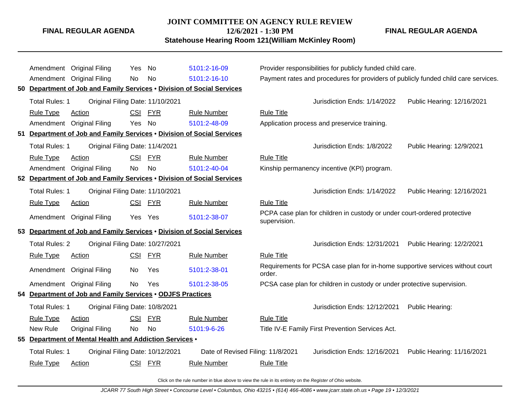#### **JOINT COMMITTEE ON AGENCY RULE REVIEW**

**12/6/2021 - 1:30 PM**

**Statehouse Hearing Room 121(William McKinley Room)**

**FINAL REGULAR AGENDA**

|    |                       | Amendment Original Filing                                              | Yes        | No         | 5101:2-16-09                      |                   | Provider responsibilities for publicly funded child care.                     |                                                                                    |
|----|-----------------------|------------------------------------------------------------------------|------------|------------|-----------------------------------|-------------------|-------------------------------------------------------------------------------|------------------------------------------------------------------------------------|
|    |                       | Amendment Original Filing                                              | No         | No         | 5101:2-16-10                      |                   |                                                                               | Payment rates and procedures for providers of publicly funded child care services. |
|    |                       | 50 Department of Job and Family Services . Division of Social Services |            |            |                                   |                   |                                                                               |                                                                                    |
|    | Total Rules: 1        | Original Filing Date: 11/10/2021                                       |            |            |                                   |                   | Jurisdiction Ends: 1/14/2022                                                  | Public Hearing: 12/16/2021                                                         |
|    | <b>Rule Type</b>      | Action                                                                 | <b>CSI</b> | <b>FYR</b> | <b>Rule Number</b>                | <b>Rule Title</b> |                                                                               |                                                                                    |
|    |                       | Amendment Original Filing                                              | Yes No     |            | 5101:2-48-09                      |                   | Application process and preservice training.                                  |                                                                                    |
| 51 |                       | Department of Job and Family Services . Division of Social Services    |            |            |                                   |                   |                                                                               |                                                                                    |
|    | Total Rules: 1        | Original Filing Date: 11/4/2021                                        |            |            |                                   |                   | Jurisdiction Ends: 1/8/2022                                                   | Public Hearing: 12/9/2021                                                          |
|    | <b>Rule Type</b>      | Action                                                                 | <b>CSI</b> | <b>FYR</b> | <b>Rule Number</b>                | <b>Rule Title</b> |                                                                               |                                                                                    |
|    |                       | Amendment Original Filing                                              | No         | No         | 5101:2-40-04                      |                   | Kinship permanency incentive (KPI) program.                                   |                                                                                    |
|    |                       | 52 Department of Job and Family Services . Division of Social Services |            |            |                                   |                   |                                                                               |                                                                                    |
|    | Total Rules: 1        | Original Filing Date: 11/10/2021                                       |            |            |                                   |                   | Jurisdiction Ends: 1/14/2022                                                  | Public Hearing: 12/16/2021                                                         |
|    | <b>Rule Type</b>      | Action                                                                 | CSI FYR    |            | <b>Rule Number</b>                | <b>Rule Title</b> |                                                                               |                                                                                    |
|    |                       | Amendment Original Filing                                              | Yes Yes    |            | 5101:2-38-07                      | supervision.      | PCPA case plan for children in custody or under court-ordered protective      |                                                                                    |
|    |                       | 53 Department of Job and Family Services . Division of Social Services |            |            |                                   |                   |                                                                               |                                                                                    |
|    | <b>Total Rules: 2</b> | Original Filing Date: 10/27/2021                                       |            |            |                                   |                   | Jurisdiction Ends: 12/31/2021                                                 | Public Hearing: 12/2/2021                                                          |
|    | <b>Rule Type</b>      | <b>Action</b>                                                          | CSI FYR    |            | <b>Rule Number</b>                | <b>Rule Title</b> |                                                                               |                                                                                    |
|    |                       | Amendment Original Filing                                              | No.        | Yes        | 5101:2-38-01                      | order.            | Requirements for PCSA case plan for in-home supportive services without court |                                                                                    |
|    |                       | Amendment Original Filing                                              | <b>No</b>  | Yes        | 5101:2-38-05                      |                   | PCSA case plan for children in custody or under protective supervision.       |                                                                                    |
|    |                       | 54 Department of Job and Family Services . ODJFS Practices             |            |            |                                   |                   |                                                                               |                                                                                    |
|    | Total Rules: 1        | Original Filing Date: 10/8/2021                                        |            |            |                                   |                   | Jurisdiction Ends: 12/12/2021                                                 | Public Hearing:                                                                    |
|    | <b>Rule Type</b>      | <b>Action</b>                                                          | CSI FYR    |            | <b>Rule Number</b>                | <b>Rule Title</b> |                                                                               |                                                                                    |
|    | New Rule              | <b>Original Filing</b>                                                 | No         | <b>No</b>  | 5101:9-6-26                       |                   | Title IV-E Family First Prevention Services Act.                              |                                                                                    |
|    |                       | 55 Department of Mental Health and Addiction Services .                |            |            |                                   |                   |                                                                               |                                                                                    |
|    | <b>Total Rules: 1</b> | Original Filing Date: 10/12/2021                                       |            |            | Date of Revised Filing: 11/8/2021 |                   | Jurisdiction Ends: 12/16/2021                                                 | Public Hearing: 11/16/2021                                                         |
|    | <b>Rule Type</b>      | Action                                                                 | CSI FYR    |            | <b>Rule Number</b>                | <b>Rule Title</b> |                                                                               |                                                                                    |
|    |                       |                                                                        |            |            |                                   |                   |                                                                               |                                                                                    |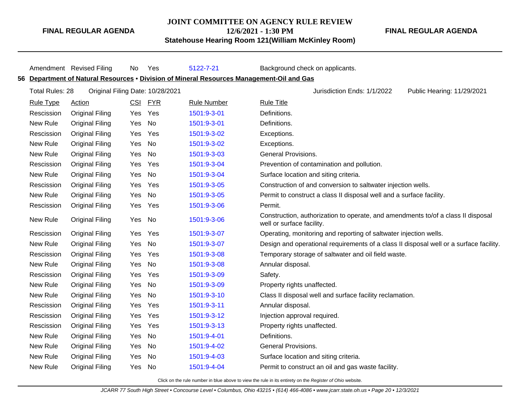## **JOINT COMMITTEE ON AGENCY RULE REVIEW**

Amendment Revised Filing No Yes [5122-7-21](http://www.registerofohio.state.oh.us/jsps/publicdisplayrules/processPublicDisplayRules.jsp?entered_rule_no=5122-7-21&doWhat=GETBYRULENUM&raID=0) Background check on applicants.

**FINAL REGULAR AGENDA**

**12/6/2021 - 1:30 PM Statehouse Hearing Room 121(William McKinley Room)** **FINAL REGULAR AGENDA**

|                        |                        |         |                                  | 56 Department of Natural Resources • Division of Mineral Resources Management-Oil and Gas |                                                                                                               |
|------------------------|------------------------|---------|----------------------------------|-------------------------------------------------------------------------------------------|---------------------------------------------------------------------------------------------------------------|
| <b>Total Rules: 28</b> |                        |         | Original Filing Date: 10/28/2021 |                                                                                           | Jurisdiction Ends: 1/1/2022<br>Public Hearing: 11/29/2021                                                     |
| <b>Rule Type</b>       | <b>Action</b>          | CSI     | <b>FYR</b>                       | <b>Rule Number</b>                                                                        | <b>Rule Title</b>                                                                                             |
| Rescission             | <b>Original Filing</b> | Yes     | Yes                              | 1501:9-3-01                                                                               | Definitions.                                                                                                  |
| New Rule               | <b>Original Filing</b> | Yes     | <b>No</b>                        | 1501:9-3-01                                                                               | Definitions.                                                                                                  |
| Rescission             | <b>Original Filing</b> | Yes     | Yes                              | 1501:9-3-02                                                                               | Exceptions.                                                                                                   |
| New Rule               | <b>Original Filing</b> | Yes     | No                               | 1501:9-3-02                                                                               | Exceptions.                                                                                                   |
| New Rule               | <b>Original Filing</b> | Yes     | No                               | 1501:9-3-03                                                                               | <b>General Provisions.</b>                                                                                    |
| Rescission             | <b>Original Filing</b> | Yes     | Yes                              | 1501:9-3-04                                                                               | Prevention of contamination and pollution.                                                                    |
| New Rule               | <b>Original Filing</b> | Yes     | <b>No</b>                        | 1501:9-3-04                                                                               | Surface location and siting criteria.                                                                         |
| Rescission             | <b>Original Filing</b> | Yes     | Yes                              | 1501:9-3-05                                                                               | Construction of and conversion to saltwater injection wells.                                                  |
| New Rule               | <b>Original Filing</b> | Yes     | No                               | 1501:9-3-05                                                                               | Permit to construct a class II disposal well and a surface facility.                                          |
| Rescission             | <b>Original Filing</b> | Yes     | Yes                              | 1501:9-3-06                                                                               | Permit.                                                                                                       |
| New Rule               | <b>Original Filing</b> | Yes     | No                               | 1501:9-3-06                                                                               | Construction, authorization to operate, and amendments to/of a class II disposal<br>well or surface facility. |
| Rescission             | <b>Original Filing</b> | Yes Yes |                                  | 1501:9-3-07                                                                               | Operating, monitoring and reporting of saltwater injection wells.                                             |
| New Rule               | <b>Original Filing</b> | Yes     | No                               | 1501:9-3-07                                                                               | Design and operational requirements of a class II disposal well or a surface facility.                        |
| Rescission             | <b>Original Filing</b> | Yes     | Yes                              | 1501:9-3-08                                                                               | Temporary storage of saltwater and oil field waste.                                                           |
| New Rule               | <b>Original Filing</b> | Yes     | No                               | 1501:9-3-08                                                                               | Annular disposal.                                                                                             |
| Rescission             | <b>Original Filing</b> | Yes     | Yes                              | 1501:9-3-09                                                                               | Safety.                                                                                                       |
| New Rule               | <b>Original Filing</b> | Yes     | No                               | 1501:9-3-09                                                                               | Property rights unaffected.                                                                                   |
| New Rule               | <b>Original Filing</b> | Yes     | <b>No</b>                        | 1501:9-3-10                                                                               | Class II disposal well and surface facility reclamation.                                                      |
| Rescission             | <b>Original Filing</b> | Yes     | Yes                              | 1501:9-3-11                                                                               | Annular disposal.                                                                                             |
| Rescission             | <b>Original Filing</b> | Yes     | Yes                              | 1501:9-3-12                                                                               | Injection approval required.                                                                                  |
| Rescission             | <b>Original Filing</b> | Yes     | Yes                              | 1501:9-3-13                                                                               | Property rights unaffected.                                                                                   |
| New Rule               | <b>Original Filing</b> | Yes     | No                               | 1501:9-4-01                                                                               | Definitions.                                                                                                  |
| New Rule               | <b>Original Filing</b> | Yes     | No                               | 1501:9-4-02                                                                               | <b>General Provisions.</b>                                                                                    |
| New Rule               | <b>Original Filing</b> | Yes     | No                               | 1501:9-4-03                                                                               | Surface location and siting criteria.                                                                         |
| New Rule               | <b>Original Filing</b> | Yes     | No                               | 1501:9-4-04                                                                               | Permit to construct an oil and gas waste facility.                                                            |
|                        |                        |         |                                  |                                                                                           |                                                                                                               |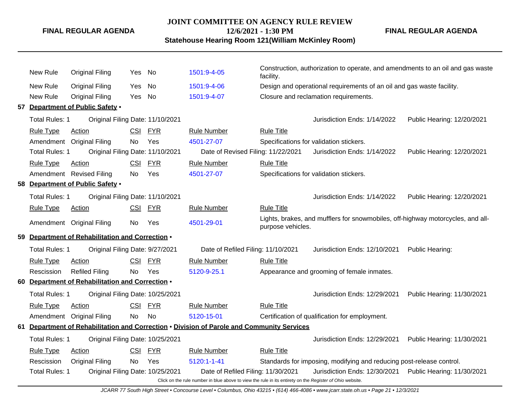#### **JOINT COMMITTEE ON AGENCY RULE REVIEW**

**12/6/2021 - 1:30 PM**

**FINAL REGULAR AGENDA**

**Statehouse Hearing Room 121(William McKinley Room)**

New Rule Original Filing Yes No [1501:9-4-05](http://www.registerofohio.state.oh.us/jsps/publicdisplayrules/processPublicDisplayRules.jsp?entered_rule_no=1501:9-4-05&doWhat=GETBYRULENUM&raID=0) Construction, authorization to operate, and amendments to an oil and gas waste facility. New Rule Original Filing Yes No [1501:9-4-06](http://www.registerofohio.state.oh.us/jsps/publicdisplayrules/processPublicDisplayRules.jsp?entered_rule_no=1501:9-4-06&doWhat=GETBYRULENUM&raID=0) Design and operational requirements of an oil and gas waste facility. New Rule Original Filing Yes No [1501:9-4-07](http://www.registerofohio.state.oh.us/jsps/publicdisplayrules/processPublicDisplayRules.jsp?entered_rule_no=1501:9-4-07&doWhat=GETBYRULENUM&raID=0) Closure and reclamation requirements. **57 Department of Public Safety** • Total Rules: 1 Original Filing Date: 11/10/2021 Jurisdiction Ends: 1/14/2022 Public Hearing: 12/20/2021 Rule Type Action **CSI FYR** Rule Number Rule Title Amendment Original Filing No Yes [4501-27-07](http://www.registerofohio.state.oh.us/jsps/publicdisplayrules/processPublicDisplayRules.jsp?entered_rule_no=4501-27-07&doWhat=GETBYRULENUM&raID=0) Specifications for validation stickers. Total Rules: 1 Original Filing Date: 11/10/2021 Date of Revised Filing: 11/22/2021 Jurisdiction Ends: 1/14/2022 Public Hearing: 12/20/2021 Rule Type Action **CSI FYR** Rule Number Rule Title Amendment Revised Filing No Yes [4501-27-07](http://www.registerofohio.state.oh.us/jsps/publicdisplayrules/processPublicDisplayRules.jsp?entered_rule_no=4501-27-07&doWhat=GETBYRULENUM&raID=0) Specifications for validation stickers. **58 Department of Public Safety** • Total Rules: 1 Original Filing Date: 11/10/2021 Jurisdiction Ends: 1/14/2022 Public Hearing: 12/20/2021 Rule Type Action **CSI FYR** Rule Number Rule Title Amendment Original Filing No Yes [4501-29-01](http://www.registerofohio.state.oh.us/jsps/publicdisplayrules/processPublicDisplayRules.jsp?entered_rule_no=4501-29-01&doWhat=GETBYRULENUM&raID=0) Lights, brakes, and mufflers for snowmobiles, off-highway motorcycles, and allpurpose vehicles. **59 Department of Rehabilitation and Correction** • Total Rules: 1 Original Filing Date: 9/27/2021 Date of Refiled Filing: 11/10/2021 Jurisdiction Ends: 12/10/2021 Public Hearing: Rule Type Action **CSI FYR** Rule Number Rule Title Rescission Refiled Filing No Yes [5120-9-25.1](http://www.registerofohio.state.oh.us/jsps/publicdisplayrules/processPublicDisplayRules.jsp?entered_rule_no=5120-9-25.1&doWhat=GETBYRULENUM&raID=0) Appearance and grooming of female inmates. **60 Department of Rehabilitation and Correction** • Total Rules: 1 Original Filing Date: 10/25/2021 Jurisdiction Ends: 12/29/2021 Public Hearing: 11/30/2021 Rule Type Action **CSI FYR** Rule Number Rule Title Amendment Original Filing No No [5120-15-01](http://www.registerofohio.state.oh.us/jsps/publicdisplayrules/processPublicDisplayRules.jsp?entered_rule_no=5120-15-01&doWhat=GETBYRULENUM&raID=0) Certification of qualification for employment. **61 Department of Rehabilitation and Correction** • **Division of Parole and Community Services** Total Rules: 1 Original Filing Date: 10/25/2021 Jurisdiction Ends: 12/29/2021 Public Hearing: 11/30/2021 Rule Type Action **CSI FYR** Rule Number Rule Title Rescission Original Filing No Yes [5120:1-1-41](http://www.registerofohio.state.oh.us/jsps/publicdisplayrules/processPublicDisplayRules.jsp?entered_rule_no=5120:1-1-41&doWhat=GETBYRULENUM&raID=0) Standards for imposing, modifying and reducing post-release control. Total Rules: 1 Original Filing Date: 10/25/2021 Date of Refiled Filing: 11/30/2021 Jurisdiction Ends: 12/30/2021 Public Hearing: 11/30/2021

> Click on the rule number in blue above to view the rule in its entirety on the Register of Ohio website. JCARR 77 South High Street • Concourse Level • Columbus, Ohio 43215 • (614) 466-4086 • www.jcarr.state.oh.us • Page 21 • 12/3/2021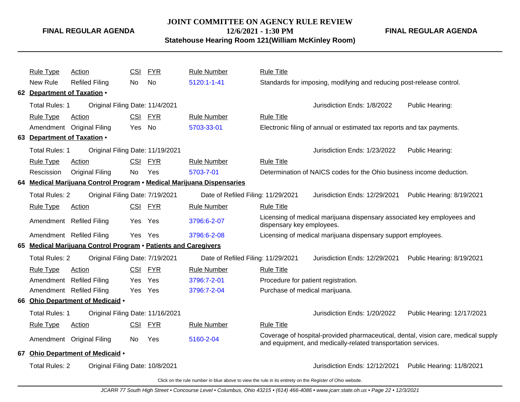# **JOINT COMMITTEE ON AGENCY RULE REVIEW**

**12/6/2021 - 1:30 PM**

**Statehouse Hearing Room 121(William McKinley Room)**

**FINAL REGULAR AGENDA**

|    | <b>Rule Type</b>            | <b>Action</b>                                                  | <b>CSI</b> | <b>FYR</b> | <b>Rule Number</b>                                                                                       | <b>Rule Title</b>                   |                                                                                                                                                    |                            |
|----|-----------------------------|----------------------------------------------------------------|------------|------------|----------------------------------------------------------------------------------------------------------|-------------------------------------|----------------------------------------------------------------------------------------------------------------------------------------------------|----------------------------|
|    | New Rule                    | <b>Refiled Filing</b>                                          | No         | <b>No</b>  | 5120:1-1-41                                                                                              |                                     | Standards for imposing, modifying and reducing post-release control.                                                                               |                            |
|    | 62 Department of Taxation . |                                                                |            |            |                                                                                                          |                                     |                                                                                                                                                    |                            |
|    | Total Rules: 1              | Original Filing Date: 11/4/2021                                |            |            |                                                                                                          |                                     | Jurisdiction Ends: 1/8/2022                                                                                                                        | Public Hearing:            |
|    | Rule Type                   | Action                                                         | <b>CSI</b> | <b>FYR</b> | <b>Rule Number</b>                                                                                       | <b>Rule Title</b>                   |                                                                                                                                                    |                            |
|    |                             | Amendment Original Filing                                      | Yes        | No         | 5703-33-01                                                                                               |                                     | Electronic filing of annual or estimated tax reports and tax payments.                                                                             |                            |
|    | 63 Department of Taxation . |                                                                |            |            |                                                                                                          |                                     |                                                                                                                                                    |                            |
|    | Total Rules: 1              | Original Filing Date: 11/19/2021                               |            |            |                                                                                                          |                                     | Jurisdiction Ends: 1/23/2022                                                                                                                       | Public Hearing:            |
|    | <b>Rule Type</b>            | Action                                                         | <b>CSI</b> | <b>FYR</b> | <b>Rule Number</b>                                                                                       | <b>Rule Title</b>                   |                                                                                                                                                    |                            |
|    | Rescission                  | <b>Original Filing</b>                                         | No.        | Yes        | 5703-7-01                                                                                                |                                     | Determination of NAICS codes for the Ohio business income deduction.                                                                               |                            |
|    |                             |                                                                |            |            | 64 Medical Marijuana Control Program • Medical Marijuana Dispensaries                                    |                                     |                                                                                                                                                    |                            |
|    | <b>Total Rules: 2</b>       | Original Filing Date: 7/19/2021                                |            |            | Date of Refiled Filing: 11/29/2021                                                                       |                                     | Jurisdiction Ends: 12/29/2021                                                                                                                      | Public Hearing: 8/19/2021  |
|    | <b>Rule Type</b>            | Action                                                         | <b>CSI</b> | <b>FYR</b> | <b>Rule Number</b>                                                                                       | <b>Rule Title</b>                   |                                                                                                                                                    |                            |
|    |                             | Amendment Refiled Filing                                       |            | Yes Yes    | 3796:6-2-07                                                                                              | dispensary key employees.           | Licensing of medical marijuana dispensary associated key employees and                                                                             |                            |
|    |                             | Amendment Refiled Filing                                       | Yes        | Yes        | 3796:6-2-08                                                                                              |                                     | Licensing of medical marijuana dispensary support employees.                                                                                       |                            |
|    |                             | 65 Medical Marijuana Control Program . Patients and Caregivers |            |            |                                                                                                          |                                     |                                                                                                                                                    |                            |
|    | <b>Total Rules: 2</b>       | Original Filing Date: 7/19/2021                                |            |            | Date of Refiled Filing: 11/29/2021                                                                       |                                     | Jurisdiction Ends: 12/29/2021                                                                                                                      | Public Hearing: 8/19/2021  |
|    | <b>Rule Type</b>            | <b>Action</b>                                                  | <b>CSI</b> | <b>FYR</b> | <b>Rule Number</b>                                                                                       | <b>Rule Title</b>                   |                                                                                                                                                    |                            |
|    | Amendment                   | <b>Refiled Filing</b>                                          | Yes.       | Yes        | 3796:7-2-01                                                                                              | Procedure for patient registration. |                                                                                                                                                    |                            |
|    |                             | Amendment Refiled Filing                                       |            | Yes Yes    | 3796:7-2-04                                                                                              | Purchase of medical marijuana.      |                                                                                                                                                    |                            |
|    |                             | 66 Ohio Department of Medicaid .                               |            |            |                                                                                                          |                                     |                                                                                                                                                    |                            |
|    | Total Rules: 1              | Original Filing Date: 11/16/2021                               |            |            |                                                                                                          |                                     | Jurisdiction Ends: 1/20/2022                                                                                                                       | Public Hearing: 12/17/2021 |
|    | <b>Rule Type</b>            | Action                                                         | <b>CSI</b> | <b>FYR</b> | <b>Rule Number</b>                                                                                       | <b>Rule Title</b>                   |                                                                                                                                                    |                            |
|    |                             | Amendment Original Filing                                      | No.        | Yes        | 5160-2-04                                                                                                |                                     | Coverage of hospital-provided pharmaceutical, dental, vision care, medical supply<br>and equipment, and medically-related transportation services. |                            |
| 67 |                             | Ohio Department of Medicaid .                                  |            |            |                                                                                                          |                                     |                                                                                                                                                    |                            |
|    | <b>Total Rules: 2</b>       | Original Filing Date: 10/8/2021                                |            |            |                                                                                                          |                                     | Jurisdiction Ends: 12/12/2021                                                                                                                      | Public Hearing: 11/8/2021  |
|    |                             |                                                                |            |            | Click on the rule number in blue above to view the rule in its entirety on the Register of Ohio website. |                                     |                                                                                                                                                    |                            |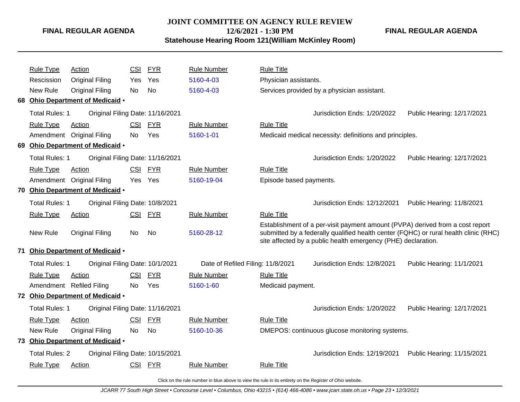### **JOINT COMMITTEE ON AGENCY RULE REVIEW 12/6/2021 - 1:30 PM**

**FINAL REGULAR AGENDA**

**Statehouse Hearing Room 121(William McKinley Room)**

|    | <b>Rule Type</b>      | Action                           | <b>CSI</b> | FYR            | <b>Rule Number</b>                | <b>Rule Title</b>       |                                                                                                                                                |                                                                                      |
|----|-----------------------|----------------------------------|------------|----------------|-----------------------------------|-------------------------|------------------------------------------------------------------------------------------------------------------------------------------------|--------------------------------------------------------------------------------------|
|    | Rescission            | <b>Original Filing</b>           | Yes.       | Yes            | 5160-4-03                         | Physician assistants.   |                                                                                                                                                |                                                                                      |
|    | New Rule              | <b>Original Filing</b>           | No.        | N <sub>0</sub> | 5160-4-03                         |                         | Services provided by a physician assistant.                                                                                                    |                                                                                      |
|    |                       | 68 Ohio Department of Medicaid . |            |                |                                   |                         |                                                                                                                                                |                                                                                      |
|    | <b>Total Rules: 1</b> | Original Filing Date: 11/16/2021 |            |                |                                   |                         | Jurisdiction Ends: 1/20/2022                                                                                                                   | Public Hearing: 12/17/2021                                                           |
|    |                       |                                  |            |                |                                   |                         |                                                                                                                                                |                                                                                      |
|    | <b>Rule Type</b>      | Action                           | <b>CSI</b> | FYR            | <b>Rule Number</b>                | <b>Rule Title</b>       |                                                                                                                                                |                                                                                      |
|    |                       | Amendment Original Filing        | No.        | Yes            | 5160-1-01                         |                         | Medicaid medical necessity: definitions and principles.                                                                                        |                                                                                      |
| 69 |                       | Ohio Department of Medicaid .    |            |                |                                   |                         |                                                                                                                                                |                                                                                      |
|    | Total Rules: 1        | Original Filing Date: 11/16/2021 |            |                |                                   |                         | Jurisdiction Ends: 1/20/2022                                                                                                                   | Public Hearing: 12/17/2021                                                           |
|    | <b>Rule Type</b>      | Action                           | CSI        | <b>FYR</b>     | <b>Rule Number</b>                | <b>Rule Title</b>       |                                                                                                                                                |                                                                                      |
|    |                       | Amendment Original Filing        | Yes        | Yes            | 5160-19-04                        | Episode based payments. |                                                                                                                                                |                                                                                      |
|    |                       | 70 Ohio Department of Medicaid . |            |                |                                   |                         |                                                                                                                                                |                                                                                      |
|    | <b>Total Rules: 1</b> | Original Filing Date: 10/8/2021  |            |                |                                   |                         | Jurisdiction Ends: 12/12/2021                                                                                                                  | Public Hearing: 11/8/2021                                                            |
|    | <b>Rule Type</b>      | Action                           | <b>CSI</b> | <b>FYR</b>     | <b>Rule Number</b>                | <b>Rule Title</b>       |                                                                                                                                                |                                                                                      |
|    | New Rule              | <b>Original Filing</b>           | No         | No             | 5160-28-12                        |                         | Establishment of a per-visit payment amount (PVPA) derived from a cost report<br>site affected by a public health emergency (PHE) declaration. | submitted by a federally qualified health center (FQHC) or rural health clinic (RHC) |
|    |                       | 71 Ohio Department of Medicaid . |            |                |                                   |                         |                                                                                                                                                |                                                                                      |
|    | Total Rules: 1        | Original Filing Date: 10/1/2021  |            |                | Date of Refiled Filing: 11/8/2021 |                         | Jurisdiction Ends: 12/8/2021                                                                                                                   | Public Hearing: 11/1/2021                                                            |
|    | <b>Rule Type</b>      | Action                           | CSI        | <b>FYR</b>     | <b>Rule Number</b>                | <b>Rule Title</b>       |                                                                                                                                                |                                                                                      |
|    |                       | Amendment Refiled Filing         | <b>No</b>  | Yes            | 5160-1-60                         | Medicaid payment.       |                                                                                                                                                |                                                                                      |
|    |                       | 72 Ohio Department of Medicaid . |            |                |                                   |                         |                                                                                                                                                |                                                                                      |
|    | <b>Total Rules: 1</b> | Original Filing Date: 11/16/2021 |            |                |                                   |                         | Jurisdiction Ends: 1/20/2022                                                                                                                   | Public Hearing: 12/17/2021                                                           |
|    | <b>Rule Type</b>      | Action                           | CSI        | <b>FYR</b>     | <b>Rule Number</b>                | <b>Rule Title</b>       |                                                                                                                                                |                                                                                      |
|    | New Rule              | <b>Original Filing</b>           | No         | No             | 5160-10-36                        |                         | DMEPOS: continuous glucose monitoring systems.                                                                                                 |                                                                                      |
|    |                       | 73 Ohio Department of Medicaid . |            |                |                                   |                         |                                                                                                                                                |                                                                                      |
|    | Total Rules: 2        | Original Filing Date: 10/15/2021 |            |                |                                   |                         | Jurisdiction Ends: 12/19/2021                                                                                                                  | Public Hearing: 11/15/2021                                                           |
|    | <b>Rule Type</b>      | Action                           | <b>CSI</b> | <b>FYR</b>     | <b>Rule Number</b>                | <b>Rule Title</b>       |                                                                                                                                                |                                                                                      |
|    |                       |                                  |            |                |                                   |                         |                                                                                                                                                |                                                                                      |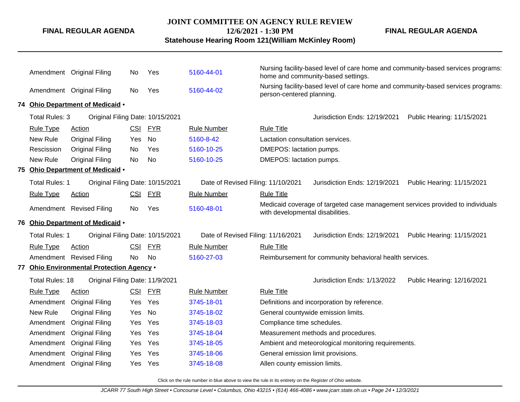#### **JOINT COMMITTEE ON AGENCY RULE REVIEW**

**12/6/2021 - 1:30 PM**

**Statehouse Hearing Room 121(William McKinley Room)**

**FINAL REGULAR AGENDA**

|                       | Amendment Original Filing                 | No.        | Yes        | 5160-44-01                         | Nursing facility-based level of care home and community-based services programs:<br>home and community-based settings. |
|-----------------------|-------------------------------------------|------------|------------|------------------------------------|------------------------------------------------------------------------------------------------------------------------|
|                       | Amendment Original Filing                 | No         | Yes        | 5160-44-02                         | Nursing facility-based level of care home and community-based services programs:<br>person-centered planning.          |
|                       | 74 Ohio Department of Medicaid .          |            |            |                                    |                                                                                                                        |
| Total Rules: 3        | Original Filing Date: 10/15/2021          |            |            |                                    | Public Hearing: 11/15/2021<br>Jurisdiction Ends: 12/19/2021                                                            |
| <b>Rule Type</b>      | Action                                    | CSI        | <b>FYR</b> | <b>Rule Number</b>                 | <b>Rule Title</b>                                                                                                      |
| New Rule              | Original Filing                           | Yes        | No         | 5160-8-42                          | Lactation consultation services.                                                                                       |
| Rescission            | Original Filing                           | No.        | Yes        | 5160-10-25                         | DMEPOS: lactation pumps.                                                                                               |
| New Rule              | <b>Original Filing</b>                    | No         | <b>No</b>  | 5160-10-25                         | DMEPOS: lactation pumps.                                                                                               |
|                       | 75 Ohio Department of Medicaid .          |            |            |                                    |                                                                                                                        |
| Total Rules: 1        | Original Filing Date: 10/15/2021          |            |            | Date of Revised Filing: 11/10/2021 | Jurisdiction Ends: 12/19/2021<br>Public Hearing: 11/15/2021                                                            |
| <b>Rule Type</b>      | Action                                    | CSI        | <b>FYR</b> | <b>Rule Number</b>                 | <b>Rule Title</b>                                                                                                      |
|                       | Amendment Revised Filing                  | No         | Yes        | 5160-48-01                         | Medicaid coverage of targeted case management services provided to individuals<br>with developmental disabilities.     |
|                       | 76 Ohio Department of Medicaid .          |            |            |                                    |                                                                                                                        |
| <b>Total Rules: 1</b> | Original Filing Date: 10/15/2021          |            |            | Date of Revised Filing: 11/16/2021 | Jurisdiction Ends: 12/19/2021<br>Public Hearing: 11/15/2021                                                            |
| <b>Rule Type</b>      | Action                                    | <u>CSI</u> | <b>FYR</b> | <b>Rule Number</b>                 | <b>Rule Title</b>                                                                                                      |
|                       | Amendment Revised Filing                  | No.        | <b>No</b>  | 5160-27-03                         | Reimbursement for community behavioral health services.                                                                |
|                       | 77 Ohio Environmental Protection Agency . |            |            |                                    |                                                                                                                        |
| Total Rules: 18       | Original Filing Date: 11/9/2021           |            |            |                                    | Jurisdiction Ends: 1/13/2022<br>Public Hearing: 12/16/2021                                                             |
| <b>Rule Type</b>      | Action                                    | <b>CSI</b> | <b>FYR</b> | <b>Rule Number</b>                 | <b>Rule Title</b>                                                                                                      |
| Amendment             | <b>Original Filing</b>                    | Yes        | Yes        | 3745-18-01                         | Definitions and incorporation by reference.                                                                            |
| New Rule              | <b>Original Filing</b>                    | Yes        | No         | 3745-18-02                         | General countywide emission limits.                                                                                    |
| Amendment             | <b>Original Filing</b>                    | Yes        | Yes        | 3745-18-03                         | Compliance time schedules.                                                                                             |
| Amendment             | <b>Original Filing</b>                    | Yes        | Yes        | 3745-18-04                         | Measurement methods and procedures.                                                                                    |
| Amendment             | <b>Original Filing</b>                    | <b>Yes</b> | Yes        | 3745-18-05                         | Ambient and meteorological monitoring requirements.                                                                    |
| Amendment             | <b>Original Filing</b>                    | Yes        | Yes        | 3745-18-06                         | General emission limit provisions.                                                                                     |
|                       |                                           |            |            |                                    |                                                                                                                        |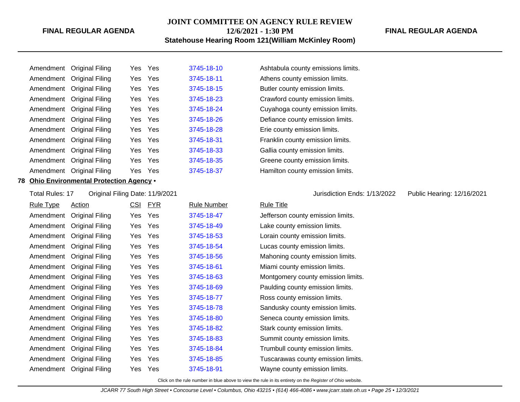#### **JOINT COMMITTEE ON AGENCY RULE REVIEW 12/6/2021 - 1:30 PM**

#### **Statehouse Hearing Room 121(William McKinley Room)**

#### **FINAL REGULAR AGENDA**

|           | Amendment Original Filing | Yes.    | Yes   | 3745-18-10 |
|-----------|---------------------------|---------|-------|------------|
|           | Amendment Original Filing | Yes Yes |       | 3745-18-11 |
|           | Amendment Original Filing | Yes Yes |       | 3745-18-15 |
|           | Amendment Original Filing | Yes     | Yes   | 3745-18-23 |
|           | Amendment Original Filing | Yes Yes |       | 3745-18-24 |
|           | Amendment Original Filing | Yes Yes |       | 3745-18-26 |
|           | Amendment Original Filing | Yes.    | Yes   | 3745-18-28 |
|           | Amendment Original Filing | Yes Yes |       | 3745-18-31 |
|           | Amendment Original Filing | Yes     | - Yes | 3745-18-33 |
| Amendment | <b>Original Filing</b>    | Yes.    | Yes   | 3745-18-35 |
| Amendment | Original Filing           | Yes.    | Yes   | 3745-18-37 |
|           |                           |         |       |            |

#### **78 Ohio Environmental Protection Agency** •

Total Rules: 17 Original Filing Date: 11/9/2021 Jurisdiction Ends: 1/13/2022 Public Hearing: 12/16/2021

| <u>Rule Type</u> | <b>Action</b>             |     | CSI FYR | <b>Rule Number</b> | <b>Rule Title</b> |
|------------------|---------------------------|-----|---------|--------------------|-------------------|
| Amendment        | Original Filing           | Yes | Yes     | 3745-18-47         | Jefferson         |
|                  | Amendment Original Filing | Yes | Yes     | 3745-18-49         | Lake cour         |
|                  | Amendment Original Filing |     | Yes Yes | 3745-18-53         | Lorain co         |
|                  | Amendment Original Filing |     | Yes Yes | 3745-18-54         | Lucas cor         |
|                  | Amendment Original Filing |     | Yes Yes | 3745-18-56         | Mahoning          |
|                  | Amendment Original Filing |     | Yes Yes | 3745-18-61         | Miami cou         |
|                  | Amendment Original Filing |     | Yes Yes | 3745-18-63         | Montgom           |
|                  | Amendment Original Filing |     | Yes Yes | 3745-18-69         | Paulding          |
|                  | Amendment Original Filing |     | Yes Yes | 3745-18-77         | Ross cou          |
|                  | Amendment Original Filing |     | Yes Yes | 3745-18-78         | Sandusky          |
|                  | Amendment Original Filing |     | Yes Yes | 3745-18-80         | Seneca c          |
|                  | Amendment Original Filing |     | Yes Yes | 3745-18-82         | Stark cou         |
|                  | Amendment Original Filing | Yes | Yes     | 3745-18-83         | Summit c          |
|                  | Amendment Original Filing |     | Yes Yes | 3745-18-84         | Trumbull          |
|                  | Amendment Original Filing | Yes | Yes     | 3745-18-85         | Tuscaraw          |
| Amendment        | Original Filing           | Yes | Yes     | 3745-18-91         | Wayne co          |
|                  |                           |     |         |                    |                   |

Ashtabula county emissions limits. Athens county emission limits. Butler county emission limits. Crawford county emission limits. Cuyahoga county emission limits. Defiance county emission limits. Erie county emission limits. Franklin county emission limits. Gallia county emission limits. Greene county emission limits. Hamilton county emission limits.

county emission limits. Inty emission limits. bunty emission limits. **Aunty emission limits.** g county emission limits. Aunty emission limits. **Amery county emission limits.** county emission limits. anty emission limits. y county emission limits. county emission limits. anty emission limits. county emission limits. county emission limits. was county emission limits. ounty emission limits.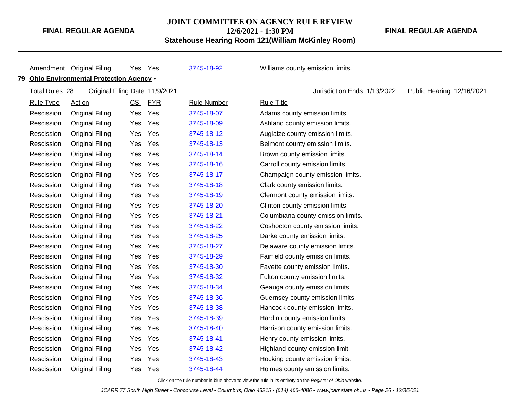#### **JOINT COMMITTEE ON AGENCY RULE REVIEW**

**12/6/2021 - 1:30 PM**

**Statehouse Hearing Room 121(William McKinley Room)**

**FINAL REGULAR AGENDA**

|    |                        | Amendment Original Filing              | Yes Yes    |            | 3745-18-92         | Williams county emission limits.                           |
|----|------------------------|----------------------------------------|------------|------------|--------------------|------------------------------------------------------------|
| 79 |                        | Ohio Environmental Protection Agency . |            |            |                    |                                                            |
|    | <b>Total Rules: 28</b> | Original Filing Date: 11/9/2021        |            |            |                    | Jurisdiction Ends: 1/13/2022<br>Public Hearing: 12/16/2021 |
|    | <b>Rule Type</b>       | <b>Action</b>                          | <u>CSI</u> | <b>FYR</b> | <b>Rule Number</b> | <b>Rule Title</b>                                          |
|    | Rescission             | <b>Original Filing</b>                 | Yes        | Yes        | 3745-18-07         | Adams county emission limits.                              |
|    | Rescission             | <b>Original Filing</b>                 | Yes        | Yes        | 3745-18-09         | Ashland county emission limits.                            |
|    | Rescission             | <b>Original Filing</b>                 | Yes        | Yes        | 3745-18-12         | Auglaize county emission limits.                           |
|    | Rescission             | <b>Original Filing</b>                 | Yes        | Yes        | 3745-18-13         | Belmont county emission limits.                            |
|    | Rescission             | <b>Original Filing</b>                 | Yes        | Yes        | 3745-18-14         | Brown county emission limits.                              |
|    | Rescission             | <b>Original Filing</b>                 | Yes        | Yes        | 3745-18-16         | Carroll county emission limits.                            |
|    | Rescission             | <b>Original Filing</b>                 | Yes        | Yes        | 3745-18-17         | Champaign county emission limits.                          |
|    | Rescission             | <b>Original Filing</b>                 | Yes        | Yes        | 3745-18-18         | Clark county emission limits.                              |
|    | Rescission             | <b>Original Filing</b>                 | Yes        | Yes        | 3745-18-19         | Clermont county emission limits.                           |
|    | Rescission             | <b>Original Filing</b>                 | Yes        | Yes        | 3745-18-20         | Clinton county emission limits.                            |
|    | Rescission             | <b>Original Filing</b>                 | Yes        | Yes        | 3745-18-21         | Columbiana county emission limits.                         |
|    | Rescission             | <b>Original Filing</b>                 | Yes        | Yes        | 3745-18-22         | Coshocton county emission limits.                          |
|    | Rescission             | <b>Original Filing</b>                 | Yes        | Yes        | 3745-18-25         | Darke county emission limits.                              |
|    | Rescission             | <b>Original Filing</b>                 | Yes        | Yes        | 3745-18-27         | Delaware county emission limits.                           |
|    | Rescission             | <b>Original Filing</b>                 | Yes        | Yes        | 3745-18-29         | Fairfield county emission limits.                          |
|    | Rescission             | <b>Original Filing</b>                 | Yes        | Yes        | 3745-18-30         | Fayette county emission limits.                            |
|    | Rescission             | <b>Original Filing</b>                 | Yes        | Yes        | 3745-18-32         | Fulton county emission limits.                             |
|    | Rescission             | <b>Original Filing</b>                 | Yes        | Yes        | 3745-18-34         | Geauga county emission limits.                             |
|    | Rescission             | <b>Original Filing</b>                 | Yes        | Yes        | 3745-18-36         | Guernsey county emission limits.                           |
|    | Rescission             | <b>Original Filing</b>                 | Yes        | Yes        | 3745-18-38         | Hancock county emission limits.                            |
|    | Rescission             | <b>Original Filing</b>                 | Yes        | Yes        | 3745-18-39         | Hardin county emission limits.                             |
|    | Rescission             | <b>Original Filing</b>                 | Yes        | Yes        | 3745-18-40         | Harrison county emission limits.                           |
|    | Rescission             | <b>Original Filing</b>                 | Yes        | Yes        | 3745-18-41         | Henry county emission limits.                              |
|    | Rescission             | <b>Original Filing</b>                 | Yes        | Yes        | 3745-18-42         | Highland county emission limit.                            |
|    | Rescission             | <b>Original Filing</b>                 | Yes        | Yes        | 3745-18-43         | Hocking county emission limits.                            |
|    | Rescission             | <b>Original Filing</b>                 | Yes        | Yes        | 3745-18-44         | Holmes county emission limits.                             |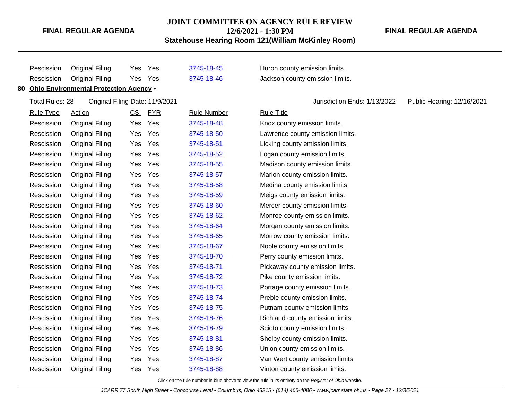# **JOINT COMMITTEE ON AGENCY RULE REVIEW**

**12/6/2021 - 1:30 PM**

**Statehouse Hearing Room 121(William McKinley Room)**

**FINAL REGULAR AGENDA**

| Rescission             | <b>Original Filing</b>                    | Yes | Yes     | 3745-18-45         | Huron county emission limits.                              |
|------------------------|-------------------------------------------|-----|---------|--------------------|------------------------------------------------------------|
| Rescission             | <b>Original Filing</b>                    | Yes | Yes     | 3745-18-46         | Jackson county emission limits.                            |
|                        | 80 Ohio Environmental Protection Agency . |     |         |                    |                                                            |
| <b>Total Rules: 28</b> | Original Filing Date: 11/9/2021           |     |         |                    | Jurisdiction Ends: 1/13/2022<br>Public Hearing: 12/16/2021 |
| <b>Rule Type</b>       | <b>Action</b>                             |     | CSI FYR | <b>Rule Number</b> | <b>Rule Title</b>                                          |
| Rescission             | <b>Original Filing</b>                    | Yes | Yes     | 3745-18-48         | Knox county emission limits.                               |
| Rescission             | <b>Original Filing</b>                    | Yes | Yes     | 3745-18-50         | Lawrence county emission limits.                           |
| Rescission             | <b>Original Filing</b>                    | Yes | Yes     | 3745-18-51         | Licking county emission limits.                            |
| Rescission             | <b>Original Filing</b>                    | Yes | Yes     | 3745-18-52         | Logan county emission limits.                              |
| Rescission             | <b>Original Filing</b>                    | Yes | Yes     | 3745-18-55         | Madison county emission limits.                            |
| Rescission             | <b>Original Filing</b>                    | Yes | Yes     | 3745-18-57         | Marion county emission limits.                             |
| Rescission             | <b>Original Filing</b>                    | Yes | Yes     | 3745-18-58         | Medina county emission limits.                             |
| Rescission             | <b>Original Filing</b>                    | Yes | Yes     | 3745-18-59         | Meigs county emission limits.                              |
| Rescission             | <b>Original Filing</b>                    | Yes | Yes     | 3745-18-60         | Mercer county emission limits.                             |
| Rescission             | <b>Original Filing</b>                    | Yes | Yes     | 3745-18-62         | Monroe county emission limits.                             |
| Rescission             | <b>Original Filing</b>                    | Yes | Yes     | 3745-18-64         | Morgan county emission limits.                             |
| Rescission             | <b>Original Filing</b>                    | Yes | Yes     | 3745-18-65         | Morrow county emission limits.                             |
| Rescission             | <b>Original Filing</b>                    | Yes | Yes     | 3745-18-67         | Noble county emission limits.                              |
| Rescission             | <b>Original Filing</b>                    | Yes | Yes     | 3745-18-70         | Perry county emission limits.                              |
| Rescission             | <b>Original Filing</b>                    | Yes | Yes     | 3745-18-71         | Pickaway county emission limits.                           |
| Rescission             | <b>Original Filing</b>                    | Yes | Yes     | 3745-18-72         | Pike county emission limits.                               |
| Rescission             | <b>Original Filing</b>                    | Yes | Yes     | 3745-18-73         | Portage county emission limits.                            |
| Rescission             | <b>Original Filing</b>                    | Yes | Yes     | 3745-18-74         | Preble county emission limits.                             |
| Rescission             | <b>Original Filing</b>                    | Yes | Yes     | 3745-18-75         | Putnam county emission limits.                             |
| Rescission             | <b>Original Filing</b>                    | Yes | Yes     | 3745-18-76         | Richland county emission limits.                           |
| Rescission             | <b>Original Filing</b>                    | Yes | Yes     | 3745-18-79         | Scioto county emission limits.                             |
| Rescission             | <b>Original Filing</b>                    | Yes | Yes     | 3745-18-81         | Shelby county emission limits.                             |
| Rescission             | <b>Original Filing</b>                    | Yes | Yes     | 3745-18-86         | Union county emission limits.                              |
| Rescission             | <b>Original Filing</b>                    | Yes | Yes     | 3745-18-87         | Van Wert county emission limits.                           |
| Rescission             | <b>Original Filing</b>                    | Yes | Yes     | 3745-18-88         | Vinton county emission limits.                             |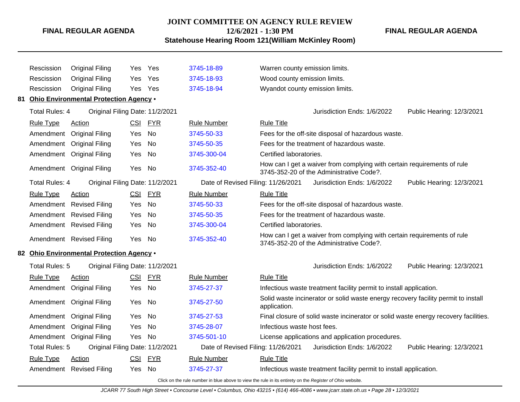#### **JOINT COMMITTEE ON AGENCY RULE REVIEW**

**12/6/2021 - 1:30 PM**

**Statehouse Hearing Room 121(William McKinley Room)**

**FINAL REGULAR AGENDA**

Rescission Original Filing Yes Yes [3745-18-89](http://www.registerofohio.state.oh.us/jsps/publicdisplayrules/processPublicDisplayRules.jsp?entered_rule_no=3745-18-89&doWhat=GETBYRULENUM&raID=0) Warren county emission limits. Rescission Original Filing Yes Yes [3745-18-93](http://www.registerofohio.state.oh.us/jsps/publicdisplayrules/processPublicDisplayRules.jsp?entered_rule_no=3745-18-93&doWhat=GETBYRULENUM&raID=0) Wood county emission limits. Rescission Original Filing Yes Yes [3745-18-94](http://www.registerofohio.state.oh.us/jsps/publicdisplayrules/processPublicDisplayRules.jsp?entered_rule_no=3745-18-94&doWhat=GETBYRULENUM&raID=0) Wyandot county emission limits. **81 Ohio Environmental Protection Agency** • Total Rules: 4 Original Filing Date: 11/2/2021 Jurisdiction Ends: 1/6/2022 Public Hearing: 12/3/2021 Rule Type Action **CSI FYR** Rule Number Rule Title Amendment Original Filing Yes No [3745-50-33](http://www.registerofohio.state.oh.us/jsps/publicdisplayrules/processPublicDisplayRules.jsp?entered_rule_no=3745-50-33&doWhat=GETBYRULENUM&raID=0) Fees for the off-site disposal of hazardous waste. Amendment Original Filing Yes No [3745-50-35](http://www.registerofohio.state.oh.us/jsps/publicdisplayrules/processPublicDisplayRules.jsp?entered_rule_no=3745-50-35&doWhat=GETBYRULENUM&raID=0) Fees for the treatment of hazardous waste. Amendment Original Filing Yes No [3745-300-04](http://www.registerofohio.state.oh.us/jsps/publicdisplayrules/processPublicDisplayRules.jsp?entered_rule_no=3745-300-04&doWhat=GETBYRULENUM&raID=0) Certified laboratories. Amendment Original Filing Yes No [3745-352-40](http://www.registerofohio.state.oh.us/jsps/publicdisplayrules/processPublicDisplayRules.jsp?entered_rule_no=3745-352-40&doWhat=GETBYRULENUM&raID=0) How can I get a waiver from complying with certain requirements of rule 3745-352-20 of the Administrative Code?. Total Rules: 4 Original Filing Date: 11/2/2021 Date of Revised Filing: 11/26/2021 Jurisdiction Ends: 1/6/2022 Public Hearing: 12/3/2021 Rule Type Action **CSI FYR** Rule Number Rule Title Amendment Revised Filing Yes No [3745-50-33](http://www.registerofohio.state.oh.us/jsps/publicdisplayrules/processPublicDisplayRules.jsp?entered_rule_no=3745-50-33&doWhat=GETBYRULENUM&raID=0) Fees for the off-site disposal of hazardous waste. Amendment Revised Filing Yes No [3745-50-35](http://www.registerofohio.state.oh.us/jsps/publicdisplayrules/processPublicDisplayRules.jsp?entered_rule_no=3745-50-35&doWhat=GETBYRULENUM&raID=0) Fees for the treatment of hazardous waste. Amendment Revised Filing Yes No [3745-300-04](http://www.registerofohio.state.oh.us/jsps/publicdisplayrules/processPublicDisplayRules.jsp?entered_rule_no=3745-300-04&doWhat=GETBYRULENUM&raID=0) Certified laboratories. Amendment Revised Filing Yes No [3745-352-40](http://www.registerofohio.state.oh.us/jsps/publicdisplayrules/processPublicDisplayRules.jsp?entered_rule_no=3745-352-40&doWhat=GETBYRULENUM&raID=0) How can I get a waiver from complying with certain requirements of rule 3745-352-20 of the Administrative Code?. **82 Ohio Environmental Protection Agency** • Total Rules: 5 Original Filing Date: 11/2/2021 **Contact Contact Act Contact Contact Contact Contact Contact Contact Contact Contact Contact Contact Contact Contact Contact Contact Contact Contact Contact Contact Contact Co** Rule Type Action **CSI FYR** Rule Number Rule Title Amendment Original Filing Yes No [3745-27-37](http://www.registerofohio.state.oh.us/jsps/publicdisplayrules/processPublicDisplayRules.jsp?entered_rule_no=3745-27-37&doWhat=GETBYRULENUM&raID=0) Infectious waste treatment facility permit to install application. Amendment Original Filing Yes No [3745-27-50](http://www.registerofohio.state.oh.us/jsps/publicdisplayrules/processPublicDisplayRules.jsp?entered_rule_no=3745-27-50&doWhat=GETBYRULENUM&raID=0) Solid waste incinerator or solid waste energy recovery facility permit to install application. Amendment Original Filing Yes No [3745-27-53](http://www.registerofohio.state.oh.us/jsps/publicdisplayrules/processPublicDisplayRules.jsp?entered_rule_no=3745-27-53&doWhat=GETBYRULENUM&raID=0) Final closure of solid waste incinerator or solid waste energy recovery facilities. Amendment Original Filing Yes No [3745-28-07](http://www.registerofohio.state.oh.us/jsps/publicdisplayrules/processPublicDisplayRules.jsp?entered_rule_no=3745-28-07&doWhat=GETBYRULENUM&raID=0) Infectious waste host fees. Amendment Original Filing Yes No [3745-501-10](http://www.registerofohio.state.oh.us/jsps/publicdisplayrules/processPublicDisplayRules.jsp?entered_rule_no=3745-501-10&doWhat=GETBYRULENUM&raID=0) License applications and application procedures. Total Rules: 5 Original Filing Date: 11/2/2021 Date of Revised Filing: 11/26/2021 Jurisdiction Ends: 1/6/2022 Public Hearing: 12/3/2021 Rule Type Action **CSI FYR** Rule Number Rule Title Amendment Revised Filing Yes No [3745-27-37](http://www.registerofohio.state.oh.us/jsps/publicdisplayrules/processPublicDisplayRules.jsp?entered_rule_no=3745-27-37&doWhat=GETBYRULENUM&raID=0) Infectious waste treatment facility permit to install application.

Click on the rule number in blue above to view the rule in its entirety on the Register of Ohio website.

JCARR 77 South High Street • Concourse Level • Columbus, Ohio 43215 • (614) 466-4086 • www.jcarr.state.oh.us • Page 28 • 12/3/2021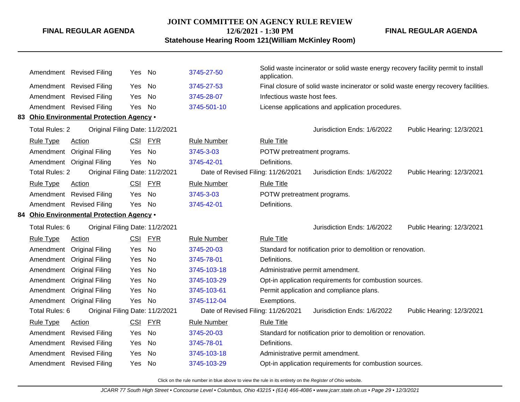#### **JOINT COMMITTEE ON AGENCY RULE REVIEW**

**12/6/2021 - 1:30 PM**

**Statehouse Hearing Room 121(William McKinley Room)**

**FINAL REGULAR AGENDA**

|  |                                                                                                | Amendment Revised Filing                  | Yes No |           | 3745-27-50                         | Solid waste incinerator or solid waste energy recovery facility permit to install<br>application. |                           |  |
|--|------------------------------------------------------------------------------------------------|-------------------------------------------|--------|-----------|------------------------------------|---------------------------------------------------------------------------------------------------|---------------------------|--|
|  |                                                                                                | Amendment Revised Filing                  | Yes    | No        | 3745-27-53                         | Final closure of solid waste incinerator or solid waste energy recovery facilities.               |                           |  |
|  |                                                                                                | Amendment Revised Filing                  | Yes    | No        | 3745-28-07                         | Infectious waste host fees.                                                                       |                           |  |
|  |                                                                                                | Amendment Revised Filing                  | Yes    | No        | 3745-501-10                        | License applications and application procedures.                                                  |                           |  |
|  |                                                                                                | 83 Ohio Environmental Protection Agency . |        |           |                                    |                                                                                                   |                           |  |
|  | <b>Total Rules: 2</b>                                                                          | Original Filing Date: 11/2/2021           |        |           |                                    | Jurisdiction Ends: 1/6/2022                                                                       | Public Hearing: 12/3/2021 |  |
|  | <b>Rule Type</b>                                                                               | <b>Action</b>                             |        | CSI FYR   | <b>Rule Number</b>                 | <b>Rule Title</b>                                                                                 |                           |  |
|  |                                                                                                | Amendment Original Filing                 | Yes    | No        | 3745-3-03                          | POTW pretreatment programs.                                                                       |                           |  |
|  |                                                                                                | Amendment Original Filing                 | Yes    | No        | 3745-42-01                         | Definitions.                                                                                      |                           |  |
|  | <b>Total Rules: 2</b><br>Original Filing Date: 11/2/2021                                       |                                           |        |           | Date of Revised Filing: 11/26/2021 | Jurisdiction Ends: 1/6/2022                                                                       | Public Hearing: 12/3/2021 |  |
|  | <b>Rule Type</b>                                                                               | Action                                    |        | CSI FYR   | <b>Rule Number</b>                 | <b>Rule Title</b>                                                                                 |                           |  |
|  |                                                                                                | Amendment Revised Filing                  | Yes    | No        | 3745-3-03                          | POTW pretreatment programs.                                                                       |                           |  |
|  |                                                                                                | Amendment Revised Filing                  | Yes    | No        | 3745-42-01                         | Definitions.                                                                                      |                           |  |
|  | 84 Ohio Environmental Protection Agency .<br>Original Filing Date: 11/2/2021<br>Total Rules: 6 |                                           |        |           |                                    |                                                                                                   |                           |  |
|  |                                                                                                |                                           |        |           |                                    | Jurisdiction Ends: 1/6/2022                                                                       | Public Hearing: 12/3/2021 |  |
|  | <b>Rule Type</b>                                                                               | Action                                    |        | CSI FYR   | <b>Rule Number</b>                 | <b>Rule Title</b>                                                                                 |                           |  |
|  |                                                                                                | Amendment Original Filing                 | Yes    | No        | 3745-20-03                         | Standard for notification prior to demolition or renovation.                                      |                           |  |
|  |                                                                                                | Amendment Original Filing                 | Yes    | No        | 3745-78-01                         | Definitions.                                                                                      |                           |  |
|  |                                                                                                | Amendment Original Filing                 | Yes    | No        | 3745-103-18                        | Administrative permit amendment.                                                                  |                           |  |
|  |                                                                                                | Amendment Original Filing                 | Yes    | No        | 3745-103-29                        | Opt-in application requirements for combustion sources.                                           |                           |  |
|  |                                                                                                | Amendment Original Filing                 | Yes    | No        | 3745-103-61                        | Permit application and compliance plans.                                                          |                           |  |
|  |                                                                                                | Amendment Original Filing                 | Yes    | No        | 3745-112-04                        | Exemptions.                                                                                       |                           |  |
|  | Total Rules: 6                                                                                 | Original Filing Date: 11/2/2021           |        |           | Date of Revised Filing: 11/26/2021 | Jurisdiction Ends: 1/6/2022                                                                       | Public Hearing: 12/3/2021 |  |
|  | <b>Rule Type</b>                                                                               | <b>Action</b>                             |        | CSI FYR   | <b>Rule Number</b>                 | <b>Rule Title</b>                                                                                 |                           |  |
|  |                                                                                                | Amendment Revised Filing                  | Yes    | <b>No</b> | 3745-20-03                         | Standard for notification prior to demolition or renovation.                                      |                           |  |
|  |                                                                                                | Amendment Revised Filing                  | Yes    | No        | 3745-78-01                         | Definitions.                                                                                      |                           |  |
|  |                                                                                                | Amendment Revised Filing                  | Yes    | No        | 3745-103-18                        | Administrative permit amendment.                                                                  |                           |  |
|  |                                                                                                | Amendment Revised Filing                  | Yes    | No        | 3745-103-29                        | Opt-in application requirements for combustion sources.                                           |                           |  |
|  |                                                                                                |                                           |        |           |                                    |                                                                                                   |                           |  |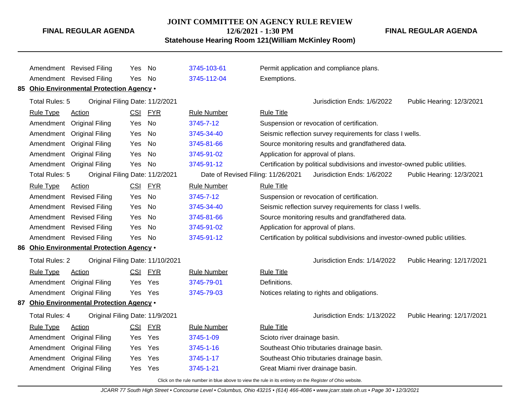# **JOINT COMMITTEE ON AGENCY RULE REVIEW**

**12/6/2021 - 1:30 PM**

**Statehouse Hearing Room 121(William McKinley Room)**

**FINAL REGULAR AGENDA**

|                                                                                                                        | Amendment Revised Filing                  | Yes.       | No         | 3745-103-61        | Permit application and compliance plans.                                     |  |  |  |
|------------------------------------------------------------------------------------------------------------------------|-------------------------------------------|------------|------------|--------------------|------------------------------------------------------------------------------|--|--|--|
|                                                                                                                        | Amendment Revised Filing                  | Yes        | <b>No</b>  | 3745-112-04        | Exemptions.                                                                  |  |  |  |
|                                                                                                                        | 85 Ohio Environmental Protection Agency . |            |            |                    |                                                                              |  |  |  |
| Total Rules: 5<br>Original Filing Date: 11/2/2021                                                                      |                                           |            |            |                    | Jurisdiction Ends: 1/6/2022<br>Public Hearing: 12/3/2021                     |  |  |  |
| <b>Rule Type</b>                                                                                                       | Action                                    | <b>CSI</b> | <b>FYR</b> | <b>Rule Number</b> | <b>Rule Title</b>                                                            |  |  |  |
|                                                                                                                        | Amendment Original Filing                 | Yes        | No         | 3745-7-12          | Suspension or revocation of certification.                                   |  |  |  |
|                                                                                                                        | Amendment Original Filing                 | Yes        | <b>No</b>  | 3745-34-40         | Seismic reflection survey requirements for class I wells.                    |  |  |  |
|                                                                                                                        | Amendment Original Filing                 | Yes        | <b>No</b>  | 3745-81-66         | Source monitoring results and grandfathered data.                            |  |  |  |
|                                                                                                                        | Amendment Original Filing                 | Yes        | <b>No</b>  | 3745-91-02         | Application for approval of plans.                                           |  |  |  |
|                                                                                                                        | Amendment Original Filing                 | Yes        | No         | 3745-91-12         | Certification by political subdivisions and investor-owned public utilities. |  |  |  |
| Total Rules: 5<br>Original Filing Date: 11/2/2021<br>Date of Revised Filing: 11/26/2021<br>Jurisdiction Ends: 1/6/2022 |                                           |            |            |                    | Public Hearing: 12/3/2021                                                    |  |  |  |
| <b>Rule Type</b>                                                                                                       | Action                                    | CSI        | <b>FYR</b> | <b>Rule Number</b> | <b>Rule Title</b>                                                            |  |  |  |
|                                                                                                                        | Amendment Revised Filing                  | Yes        | <b>No</b>  | 3745-7-12          | Suspension or revocation of certification.                                   |  |  |  |
|                                                                                                                        | Amendment Revised Filing                  | Yes        | <b>No</b>  | 3745-34-40         | Seismic reflection survey requirements for class I wells.                    |  |  |  |
|                                                                                                                        | Amendment Revised Filing                  | Yes        | <b>No</b>  | 3745-81-66         | Source monitoring results and grandfathered data.                            |  |  |  |
|                                                                                                                        | Amendment Revised Filing                  | Yes        | <b>No</b>  | 3745-91-02         | Application for approval of plans.                                           |  |  |  |
|                                                                                                                        | Amendment Revised Filing                  | Yes.       | No         | 3745-91-12         | Certification by political subdivisions and investor-owned public utilities. |  |  |  |
| 86 Ohio Environmental Protection Agency .                                                                              |                                           |            |            |                    |                                                                              |  |  |  |
| <b>Total Rules: 2</b>                                                                                                  | Original Filing Date: 11/10/2021          |            |            |                    | Jurisdiction Ends: 1/14/2022<br>Public Hearing: 12/17/2021                   |  |  |  |
| <b>Rule Type</b>                                                                                                       | Action                                    | <b>CSI</b> | <b>FYR</b> | <b>Rule Number</b> | <b>Rule Title</b>                                                            |  |  |  |
|                                                                                                                        | Amendment Original Filing                 | Yes.       | Yes        | 3745-79-01         | Definitions.                                                                 |  |  |  |
|                                                                                                                        | Amendment Original Filing                 | Yes.       | Yes        | 3745-79-03         | Notices relating to rights and obligations.                                  |  |  |  |
|                                                                                                                        | 87 Ohio Environmental Protection Agency . |            |            |                    |                                                                              |  |  |  |
| <b>Total Rules: 4</b>                                                                                                  | Original Filing Date: 11/9/2021           |            |            |                    | Jurisdiction Ends: 1/13/2022<br>Public Hearing: 12/17/2021                   |  |  |  |
| <b>Rule Type</b>                                                                                                       | Action                                    | <u>CSI</u> | <u>FYR</u> | <b>Rule Number</b> | <b>Rule Title</b>                                                            |  |  |  |
| Amendment                                                                                                              | <b>Original Filing</b>                    | Yes.       | Yes        | 3745-1-09          | Scioto river drainage basin.                                                 |  |  |  |
|                                                                                                                        | Amendment Original Filing                 | Yes        | Yes        | 3745-1-16          | Southeast Ohio tributaries drainage basin.                                   |  |  |  |
|                                                                                                                        | Amendment Original Filing                 | Yes        | Yes        | 3745-1-17          | Southeast Ohio tributaries drainage basin.                                   |  |  |  |
|                                                                                                                        | Amendment Original Filing                 | Yes        | Yes        | 3745-1-21          | Great Miami river drainage basin.                                            |  |  |  |
|                                                                                                                        |                                           |            |            |                    |                                                                              |  |  |  |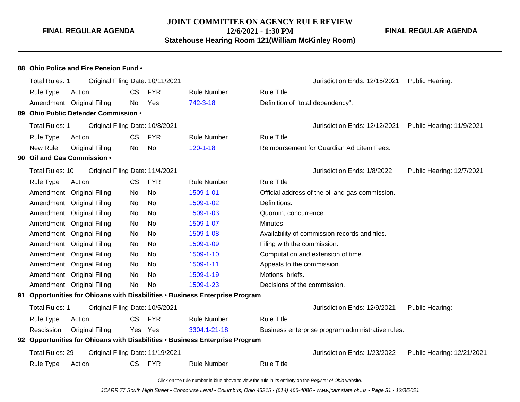**JOINT COMMITTEE ON AGENCY RULE REVIEW 12/6/2021 - 1:30 PM**

**Statehouse Hearing Room 121(William McKinley Room)**

**FINAL REGULAR AGENDA**

|    | 88 Ohio Police and Fire Pension Fund .                                    |                                      |            |            |                                                                              |                                                   |                            |  |  |  |
|----|---------------------------------------------------------------------------|--------------------------------------|------------|------------|------------------------------------------------------------------------------|---------------------------------------------------|----------------------------|--|--|--|
|    | Total Rules: 1                                                            | Original Filing Date: 10/11/2021     |            |            |                                                                              | Jurisdiction Ends: 12/15/2021                     | Public Hearing:            |  |  |  |
|    | <b>Rule Type</b>                                                          | <b>Action</b>                        | <b>CSI</b> | <u>FYR</u> | <b>Rule Number</b>                                                           | <b>Rule Title</b>                                 |                            |  |  |  |
|    |                                                                           | Amendment Original Filing            | No         | Yes        | 742-3-18                                                                     | Definition of "total dependency".                 |                            |  |  |  |
|    |                                                                           | 89 Ohio Public Defender Commission . |            |            |                                                                              |                                                   |                            |  |  |  |
|    | Total Rules: 1                                                            | Original Filing Date: 10/8/2021      |            |            |                                                                              | Jurisdiction Ends: 12/12/2021                     | Public Hearing: 11/9/2021  |  |  |  |
|    | <b>Rule Type</b>                                                          | <b>Action</b>                        | <b>CSI</b> | <b>FYR</b> | <b>Rule Number</b>                                                           | <b>Rule Title</b>                                 |                            |  |  |  |
|    | New Rule                                                                  | <b>Original Filing</b>               | No         | No         | $120 - 1 - 18$                                                               | Reimbursement for Guardian Ad Litem Fees.         |                            |  |  |  |
|    |                                                                           | 90 Oil and Gas Commission .          |            |            |                                                                              |                                                   |                            |  |  |  |
|    | <b>Total Rules: 10</b>                                                    | Original Filing Date: 11/4/2021      |            |            |                                                                              | Jurisdiction Ends: 1/8/2022                       | Public Hearing: 12/7/2021  |  |  |  |
|    | <b>Rule Type</b>                                                          | Action                               | <b>CSI</b> | <b>FYR</b> | <b>Rule Number</b>                                                           | <b>Rule Title</b>                                 |                            |  |  |  |
|    | Amendment                                                                 | <b>Original Filing</b>               | <b>No</b>  | <b>No</b>  | 1509-1-01                                                                    | Official address of the oil and gas commission.   |                            |  |  |  |
|    | Amendment                                                                 | <b>Original Filing</b>               | No         | No         | 1509-1-02                                                                    | Definitions.                                      |                            |  |  |  |
|    | Amendment                                                                 | <b>Original Filing</b>               | No         | No         | 1509-1-03                                                                    | Quorum, concurrence.                              |                            |  |  |  |
|    | Amendment                                                                 | <b>Original Filing</b>               | No         | No         | 1509-1-07                                                                    | Minutes.                                          |                            |  |  |  |
|    | Amendment                                                                 | <b>Original Filing</b>               | No         | <b>No</b>  | 1509-1-08                                                                    | Availability of commission records and files.     |                            |  |  |  |
|    | No<br>Amendment Original Filing<br>No<br>1509-1-09                        |                                      |            |            |                                                                              | Filing with the commission.                       |                            |  |  |  |
|    | Amendment Original Filing<br>No<br>No<br>1509-1-10                        |                                      |            |            |                                                                              | Computation and extension of time.                |                            |  |  |  |
|    |                                                                           | Amendment Original Filing            | No         | <b>No</b>  | 1509-1-11                                                                    | Appeals to the commission.                        |                            |  |  |  |
|    | Amendment                                                                 | <b>Original Filing</b>               | <b>No</b>  | No         | 1509-1-19                                                                    | Motions, briefs.                                  |                            |  |  |  |
|    |                                                                           | Amendment Original Filing            | <b>No</b>  | <b>No</b>  | 1509-1-23                                                                    | Decisions of the commission.                      |                            |  |  |  |
| 91 | Opportunities for Ohioans with Disabilities . Business Enterprise Program |                                      |            |            |                                                                              |                                                   |                            |  |  |  |
|    | Total Rules: 1                                                            | Original Filing Date: 10/5/2021      |            |            |                                                                              | Jurisdiction Ends: 12/9/2021                      | Public Hearing:            |  |  |  |
|    | <b>Rule Type</b>                                                          | <b>Action</b>                        | CSI        | <u>FYR</u> | <b>Rule Number</b>                                                           | <b>Rule Title</b>                                 |                            |  |  |  |
|    | Rescission<br><b>Original Filing</b><br>Yes Yes<br>3304:1-21-18           |                                      |            |            |                                                                              | Business enterprise program administrative rules. |                            |  |  |  |
|    |                                                                           |                                      |            |            | 92 Opportunities for Ohioans with Disabilities • Business Enterprise Program |                                                   |                            |  |  |  |
|    | Total Rules: 29                                                           | Original Filing Date: 11/19/2021     |            |            |                                                                              | Jurisdiction Ends: 1/23/2022                      | Public Hearing: 12/21/2021 |  |  |  |
|    | <b>Rule Type</b>                                                          | <b>Action</b>                        |            | CSI FYR    | <b>Rule Number</b>                                                           | <b>Rule Title</b>                                 |                            |  |  |  |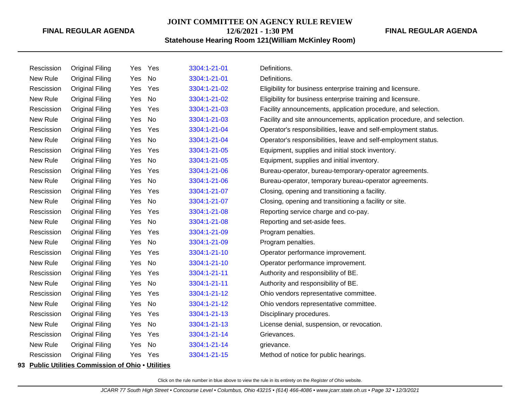# **JOINT COMMITTEE ON AGENCY RULE REVIEW 12/6/2021 - 1:30 PM**

### **Statehouse Hearing Room 121(William McKinley Room)**

| Rescission | <b>Original Filing</b> | Yes | Yes | 3304:1-21-01 | Definitions.                                                           |
|------------|------------------------|-----|-----|--------------|------------------------------------------------------------------------|
| New Rule   | <b>Original Filing</b> | Yes | No  | 3304:1-21-01 | Definitions.                                                           |
| Rescission | <b>Original Filing</b> | Yes | Yes | 3304:1-21-02 | Eligibility for business enterprise training and licensure.            |
| New Rule   | <b>Original Filing</b> | Yes | No  | 3304:1-21-02 | Eligibility for business enterprise training and licensure.            |
| Rescission | <b>Original Filing</b> | Yes | Yes | 3304:1-21-03 | Facility announcements, application procedure, and selection.          |
| New Rule   | <b>Original Filing</b> | Yes | No  | 3304:1-21-03 | Facility and site announcements, application procedure, and selection. |
| Rescission | <b>Original Filing</b> | Yes | Yes | 3304:1-21-04 | Operator's responsibilities, leave and self-employment status.         |
| New Rule   | <b>Original Filing</b> | Yes | No  | 3304:1-21-04 | Operator's responsibilities, leave and self-employment status.         |
| Rescission | <b>Original Filing</b> | Yes | Yes | 3304:1-21-05 | Equipment, supplies and initial stock inventory.                       |
| New Rule   | <b>Original Filing</b> | Yes | No  | 3304:1-21-05 | Equipment, supplies and initial inventory.                             |
| Rescission | <b>Original Filing</b> | Yes | Yes | 3304:1-21-06 | Bureau-operator, bureau-temporary-operator agreements.                 |
| New Rule   | <b>Original Filing</b> | Yes | No  | 3304:1-21-06 | Bureau-operator, temporary bureau-operator agreements.                 |
| Rescission | <b>Original Filing</b> | Yes | Yes | 3304:1-21-07 | Closing, opening and transitioning a facility.                         |
| New Rule   | <b>Original Filing</b> | Yes | No  | 3304:1-21-07 | Closing, opening and transitioning a facility or site.                 |
| Rescission | Original Filing        | Yes | Yes | 3304:1-21-08 | Reporting service charge and co-pay.                                   |
| New Rule   | <b>Original Filing</b> | Yes | No  | 3304:1-21-08 | Reporting and set-aside fees.                                          |
| Rescission | <b>Original Filing</b> | Yes | Yes | 3304:1-21-09 | Program penalties.                                                     |
| New Rule   | <b>Original Filing</b> | Yes | No  | 3304:1-21-09 | Program penalties.                                                     |
| Rescission | Original Filing        | Yes | Yes | 3304:1-21-10 | Operator performance improvement.                                      |
| New Rule   | <b>Original Filing</b> | Yes | No  | 3304:1-21-10 | Operator performance improvement.                                      |
| Rescission | <b>Original Filing</b> | Yes | Yes | 3304:1-21-11 | Authority and responsibility of BE.                                    |
| New Rule   | <b>Original Filing</b> | Yes | No  | 3304:1-21-11 | Authority and responsibility of BE.                                    |
| Rescission | <b>Original Filing</b> | Yes | Yes | 3304:1-21-12 | Ohio vendors representative committee.                                 |
| New Rule   | <b>Original Filing</b> | Yes | No  | 3304:1-21-12 | Ohio vendors representative committee.                                 |
| Rescission | <b>Original Filing</b> | Yes | Yes | 3304:1-21-13 | Disciplinary procedures.                                               |
| New Rule   | <b>Original Filing</b> | Yes | No  | 3304:1-21-13 | License denial, suspension, or revocation.                             |
| Rescission | <b>Original Filing</b> | Yes | Yes | 3304:1-21-14 | Grievances.                                                            |
| New Rule   | <b>Original Filing</b> | Yes | No  | 3304:1-21-14 | grievance.                                                             |
| Rescission | <b>Original Filing</b> | Yes | Yes | 3304:1-21-15 | Method of notice for public hearings.                                  |

**93 Public Utilities Commission of Ohio** • **Utilities**

Click on the rule number in blue above to view the rule in its entirety on the Register of Ohio website.

**FINAL REGULAR AGENDA**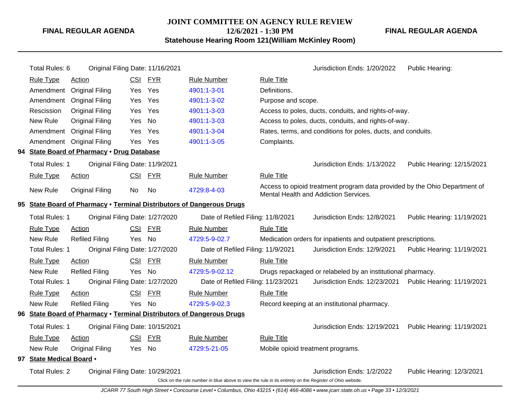#### **JOINT COMMITTEE ON AGENCY RULE REVIEW 12/6/2021 - 1:30 PM Statehouse Hearing Room 121(William McKinley Room)**

**FINAL REGULAR AGENDA**

Total Rules: 6 Original Filing Date: 11/16/2021 Contract Contract Contract Contract Contract Contract Contract Contract Contract Contract Contract Contract Contract Contract Contract Contract Contract Contract Contract Con Rule Type Action **CSI FYR** Rule Number Rule Title Amendment Original Filing Yes Yes [4901:1-3-01](http://www.registerofohio.state.oh.us/jsps/publicdisplayrules/processPublicDisplayRules.jsp?entered_rule_no=4901:1-3-01&doWhat=GETBYRULENUM&raID=0) Definitions. Amendment Original Filing Yes Yes [4901:1-3-02](http://www.registerofohio.state.oh.us/jsps/publicdisplayrules/processPublicDisplayRules.jsp?entered_rule_no=4901:1-3-02&doWhat=GETBYRULENUM&raID=0) Purpose and scope. Rescission Original Filing Yes Yes [4901:1-3-03](http://www.registerofohio.state.oh.us/jsps/publicdisplayrules/processPublicDisplayRules.jsp?entered_rule_no=4901:1-3-03&doWhat=GETBYRULENUM&raID=0) Access to poles, ducts, conduits, and rights-of-way. New Rule Original Filing Yes No [4901:1-3-03](http://www.registerofohio.state.oh.us/jsps/publicdisplayrules/processPublicDisplayRules.jsp?entered_rule_no=4901:1-3-03&doWhat=GETBYRULENUM&raID=0) Access to poles, ducts, conduits, and rights-of-way. Amendment Original Filing Yes Yes [4901:1-3-04](http://www.registerofohio.state.oh.us/jsps/publicdisplayrules/processPublicDisplayRules.jsp?entered_rule_no=4901:1-3-04&doWhat=GETBYRULENUM&raID=0) Rates, terms, and conditions for poles, ducts, and conduits. Amendment Original Filing Yes Yes [4901:1-3-05](http://www.registerofohio.state.oh.us/jsps/publicdisplayrules/processPublicDisplayRules.jsp?entered_rule_no=4901:1-3-05&doWhat=GETBYRULENUM&raID=0) Complaints. **94 State Board of Pharmacy** • **Drug Database** Total Rules: 1 Original Filing Date: 11/9/2021 Jurisdiction Ends: 1/13/2022 Public Hearing: 12/15/2021 Rule Type Action **CSI FYR** Rule Number Rule Title New Rule Original Filing No No [4729:8-4-03](http://www.registerofohio.state.oh.us/jsps/publicdisplayrules/processPublicDisplayRules.jsp?entered_rule_no=4729:8-4-03&doWhat=GETBYRULENUM&raID=0) Access to opioid treatment program data provided by the Ohio Department of Mental Health and Addiction Services. **95 State Board of Pharmacy** • **Terminal Distributors of Dangerous Drugs** Total Rules: 1 Original Filing Date: 1/27/2020 Date of Refiled Filing: 11/8/2021 Jurisdiction Ends: 12/8/2021 Public Hearing: 11/19/2021 Rule Type Action **CSI FYR** Rule Number Rule Title New Rule Refiled Filing Yes No [4729:5-9-02.7](http://www.registerofohio.state.oh.us/jsps/publicdisplayrules/processPublicDisplayRules.jsp?entered_rule_no=4729:5-9-02.7&doWhat=GETBYRULENUM&raID=0) Medication orders for inpatients and outpatient prescriptions. Total Rules: 1 Original Filing Date: 1/27/2020 Date of Refiled Filing: 11/9/2021 Jurisdiction Ends: 12/9/2021 Public Hearing: 11/19/2021 Rule Type Action **CSI FYR** Rule Number Rule Title New Rule Refiled Filing Yes No [4729:5-9-02.12](http://www.registerofohio.state.oh.us/jsps/publicdisplayrules/processPublicDisplayRules.jsp?entered_rule_no=4729:5-9-02.12&doWhat=GETBYRULENUM&raID=0) Drugs repackaged or relabeled by an institutional pharmacy. Total Rules: 1 Original Filing Date: 1/27/2020 Date of Refiled Filing: 11/23/2021 Jurisdiction Ends: 12/23/2021 Public Hearing: 11/19/2021 Rule Type Action **CSI FYR** Rule Number Rule Title New Rule Refiled Filing Yes No [4729:5-9-02.3](http://www.registerofohio.state.oh.us/jsps/publicdisplayrules/processPublicDisplayRules.jsp?entered_rule_no=4729:5-9-02.3&doWhat=GETBYRULENUM&raID=0) Record keeping at an institutional pharmacy. **96 State Board of Pharmacy** • **Terminal Distributors of Dangerous Drugs** Total Rules: 1 Original Filing Date: 10/15/2021 Jurisdiction Ends: 12/19/2021 Public Hearing: 11/19/2021 Rule Type Action CSI FYR Rule Number Rule Title New Rule Original Filing Yes No [4729:5-21-05](http://www.registerofohio.state.oh.us/jsps/publicdisplayrules/processPublicDisplayRules.jsp?entered_rule_no=4729:5-21-05&doWhat=GETBYRULENUM&raID=0) Mobile opioid treatment programs. **97 State Medical Board** • Total Rules: 2 Original Filing Date: 10/29/2021 Jurisdiction Ends: 1/2/2022 Public Hearing: 12/3/2021 Click on the rule number in blue above to view the rule in its entirety on the Register of Ohio website.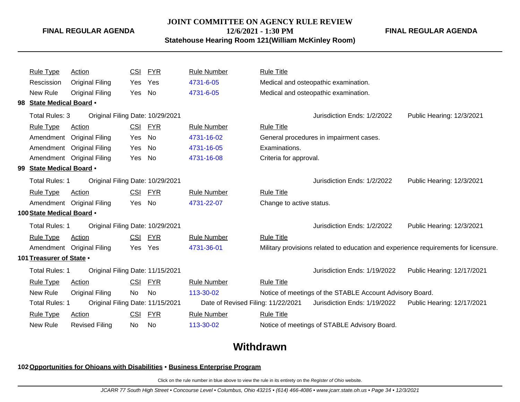#### **JOINT COMMITTEE ON AGENCY RULE REVIEW**

**12/6/2021 - 1:30 PM**

**Statehouse Hearing Room 121(William McKinley Room)**

**FINAL REGULAR AGENDA**

|                           | <b>Rule Type</b>         | <b>Action</b>                    | <u>CSI</u> | <b>FYR</b> | <b>Rule Number</b>                 | <b>Rule Title</b>                    |                                                                                     |                            |
|---------------------------|--------------------------|----------------------------------|------------|------------|------------------------------------|--------------------------------------|-------------------------------------------------------------------------------------|----------------------------|
|                           | Rescission               | <b>Original Filing</b>           | Yes        | Yes        | 4731-6-05                          | Medical and osteopathic examination. |                                                                                     |                            |
|                           | New Rule                 | <b>Original Filing</b>           | Yes        | No         | 4731-6-05                          |                                      | Medical and osteopathic examination.                                                |                            |
|                           | 98 State Medical Board . |                                  |            |            |                                    |                                      |                                                                                     |                            |
|                           | Total Rules: 3           | Original Filing Date: 10/29/2021 |            |            |                                    |                                      | Jurisdiction Ends: 1/2/2022                                                         | Public Hearing: 12/3/2021  |
|                           | <b>Rule Type</b>         | Action                           | <b>CSI</b> | <b>FYR</b> | <b>Rule Number</b>                 | <b>Rule Title</b>                    |                                                                                     |                            |
|                           |                          | Amendment Original Filing        | Yes        | No         | 4731-16-02                         |                                      | General procedures in impairment cases.                                             |                            |
|                           |                          | Amendment Original Filing        | Yes        | No         | 4731-16-05                         | Examinations.                        |                                                                                     |                            |
|                           |                          | Amendment Original Filing        | Yes        | No         | 4731-16-08                         | Criteria for approval.               |                                                                                     |                            |
|                           | 99 State Medical Board . |                                  |            |            |                                    |                                      |                                                                                     |                            |
|                           | <b>Total Rules: 1</b>    | Original Filing Date: 10/29/2021 |            |            |                                    |                                      | Jurisdiction Ends: 1/2/2022                                                         | Public Hearing: 12/3/2021  |
|                           | <b>Rule Type</b>         | <b>Action</b>                    | <b>CSI</b> | <b>FYR</b> | <b>Rule Number</b>                 | <b>Rule Title</b>                    |                                                                                     |                            |
|                           |                          | Amendment Original Filing        | Yes No     |            | 4731-22-07                         | Change to active status.             |                                                                                     |                            |
| 100 State Medical Board . |                          |                                  |            |            |                                    |                                      |                                                                                     |                            |
|                           | <b>Total Rules: 1</b>    | Original Filing Date: 10/29/2021 |            |            |                                    |                                      | Jurisdiction Ends: 1/2/2022                                                         | Public Hearing: 12/3/2021  |
|                           | <b>Rule Type</b>         | Action                           | <b>CSI</b> | <b>FYR</b> | <b>Rule Number</b>                 | <b>Rule Title</b>                    |                                                                                     |                            |
|                           |                          | Amendment Original Filing        | Yes        | Yes        | 4731-36-01                         |                                      | Military provisions related to education and experience requirements for licensure. |                            |
|                           | 101 Treasurer of State . |                                  |            |            |                                    |                                      |                                                                                     |                            |
|                           | <b>Total Rules: 1</b>    | Original Filing Date: 11/15/2021 |            |            |                                    |                                      | Jurisdiction Ends: 1/19/2022                                                        | Public Hearing: 12/17/2021 |
|                           | <b>Rule Type</b>         | Action                           | <b>CSI</b> | <b>FYR</b> | <b>Rule Number</b>                 | <b>Rule Title</b>                    |                                                                                     |                            |
|                           | New Rule                 | <b>Original Filing</b>           | No         | No         | 113-30-02                          |                                      | Notice of meetings of the STABLE Account Advisory Board.                            |                            |
|                           | <b>Total Rules: 1</b>    | Original Filing Date: 11/15/2021 |            |            | Date of Revised Filing: 11/22/2021 |                                      | Jurisdiction Ends: 1/19/2022                                                        | Public Hearing: 12/17/2021 |
|                           | <b>Rule Type</b>         | <b>Action</b>                    | <u>CSI</u> | <b>FYR</b> | <b>Rule Number</b>                 | <b>Rule Title</b>                    |                                                                                     |                            |
|                           | New Rule                 | <b>Revised Filing</b>            | No.        | No         | 113-30-02                          |                                      | Notice of meetings of STABLE Advisory Board.                                        |                            |
|                           |                          |                                  |            |            |                                    |                                      |                                                                                     |                            |

# **Withdrawn**

#### **102Opportunities for Ohioans with Disabilities** • **Business Enterprise Program**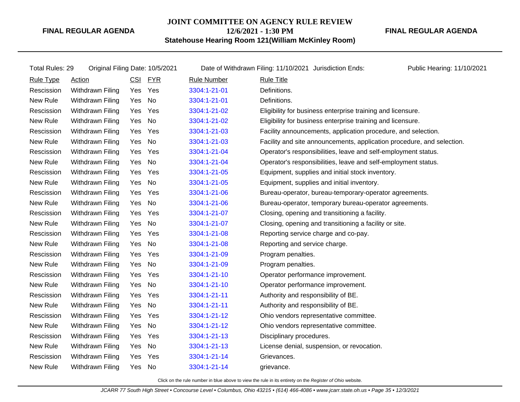# **JOINT COMMITTEE ON AGENCY RULE REVIEW 12/6/2021 - 1:30 PM**

**FINAL REGULAR AGENDA**

**Statehouse Hearing Room 121(William McKinley Room)**

| Total Rules: 29  | Original Filing Date: 10/5/2021 |            |            |                    | Date of Withdrawn Filing: 11/10/2021 Jurisdiction Ends:                | Public Hearing: 11/10/2021 |
|------------------|---------------------------------|------------|------------|--------------------|------------------------------------------------------------------------|----------------------------|
| <b>Rule Type</b> | <b>Action</b>                   | <b>CSI</b> | <b>FYR</b> | <b>Rule Number</b> | <b>Rule Title</b>                                                      |                            |
| Rescission       | Withdrawn Filing                | Yes        | Yes        | 3304:1-21-01       | Definitions.                                                           |                            |
| New Rule         | Withdrawn Filing                | Yes        | No         | 3304:1-21-01       | Definitions.                                                           |                            |
| Rescission       | Withdrawn Filing                | Yes        | Yes        | 3304:1-21-02       | Eligibility for business enterprise training and licensure.            |                            |
| New Rule         | Withdrawn Filing                | Yes        | No         | 3304:1-21-02       | Eligibility for business enterprise training and licensure.            |                            |
| Rescission       | Withdrawn Filing                | Yes        | Yes        | 3304:1-21-03       | Facility announcements, application procedure, and selection.          |                            |
| New Rule         | Withdrawn Filing                | Yes        | No         | 3304:1-21-03       | Facility and site announcements, application procedure, and selection. |                            |
| Rescission       | Withdrawn Filing                | Yes        | Yes        | 3304:1-21-04       | Operator's responsibilities, leave and self-employment status.         |                            |
| New Rule         | Withdrawn Filing                | Yes        | No         | 3304:1-21-04       | Operator's responsibilities, leave and self-employment status.         |                            |
| Rescission       | Withdrawn Filing                | Yes        | Yes        | 3304:1-21-05       | Equipment, supplies and initial stock inventory.                       |                            |
| New Rule         | Withdrawn Filing                | Yes        | No         | 3304:1-21-05       | Equipment, supplies and initial inventory.                             |                            |
| Rescission       | Withdrawn Filing                | Yes        | Yes        | 3304:1-21-06       | Bureau-operator, bureau-temporary-operator agreements.                 |                            |
| New Rule         | Withdrawn Filing                | Yes        | No         | 3304:1-21-06       | Bureau-operator, temporary bureau-operator agreements.                 |                            |
| Rescission       | Withdrawn Filing                | Yes        | Yes        | 3304:1-21-07       | Closing, opening and transitioning a facility.                         |                            |
| New Rule         | Withdrawn Filing                | Yes        | No         | 3304:1-21-07       | Closing, opening and transitioning a facility or site.                 |                            |
| Rescission       | Withdrawn Filing                | Yes        | Yes        | 3304:1-21-08       | Reporting service charge and co-pay.                                   |                            |
| New Rule         | Withdrawn Filing                | Yes        | No         | 3304:1-21-08       | Reporting and service charge.                                          |                            |
| Rescission       | Withdrawn Filing                | Yes        | Yes        | 3304:1-21-09       | Program penalties.                                                     |                            |
| New Rule         | Withdrawn Filing                | Yes        | No         | 3304:1-21-09       | Program penalties.                                                     |                            |
| Rescission       | Withdrawn Filing                | Yes        | Yes        | 3304:1-21-10       | Operator performance improvement.                                      |                            |
| New Rule         | Withdrawn Filing                | Yes        | No         | 3304:1-21-10       | Operator performance improvement.                                      |                            |
| Rescission       | Withdrawn Filing                | Yes        | Yes        | 3304:1-21-11       | Authority and responsibility of BE.                                    |                            |
| New Rule         | Withdrawn Filing                | Yes        | No         | 3304:1-21-11       | Authority and responsibility of BE.                                    |                            |
| Rescission       | Withdrawn Filing                | Yes        | Yes        | 3304:1-21-12       | Ohio vendors representative committee.                                 |                            |
| New Rule         | Withdrawn Filing                | Yes        | No         | 3304:1-21-12       | Ohio vendors representative committee.                                 |                            |
| Rescission       | Withdrawn Filing                | Yes        | Yes        | 3304:1-21-13       | Disciplinary procedures.                                               |                            |
| New Rule         | Withdrawn Filing                | Yes        | No         | 3304:1-21-13       | License denial, suspension, or revocation.                             |                            |
| Rescission       | Withdrawn Filing                | Yes        | Yes        | 3304:1-21-14       | Grievances.                                                            |                            |
| New Rule         | Withdrawn Filing                | Yes        | No         | 3304:1-21-14       | grievance.                                                             |                            |